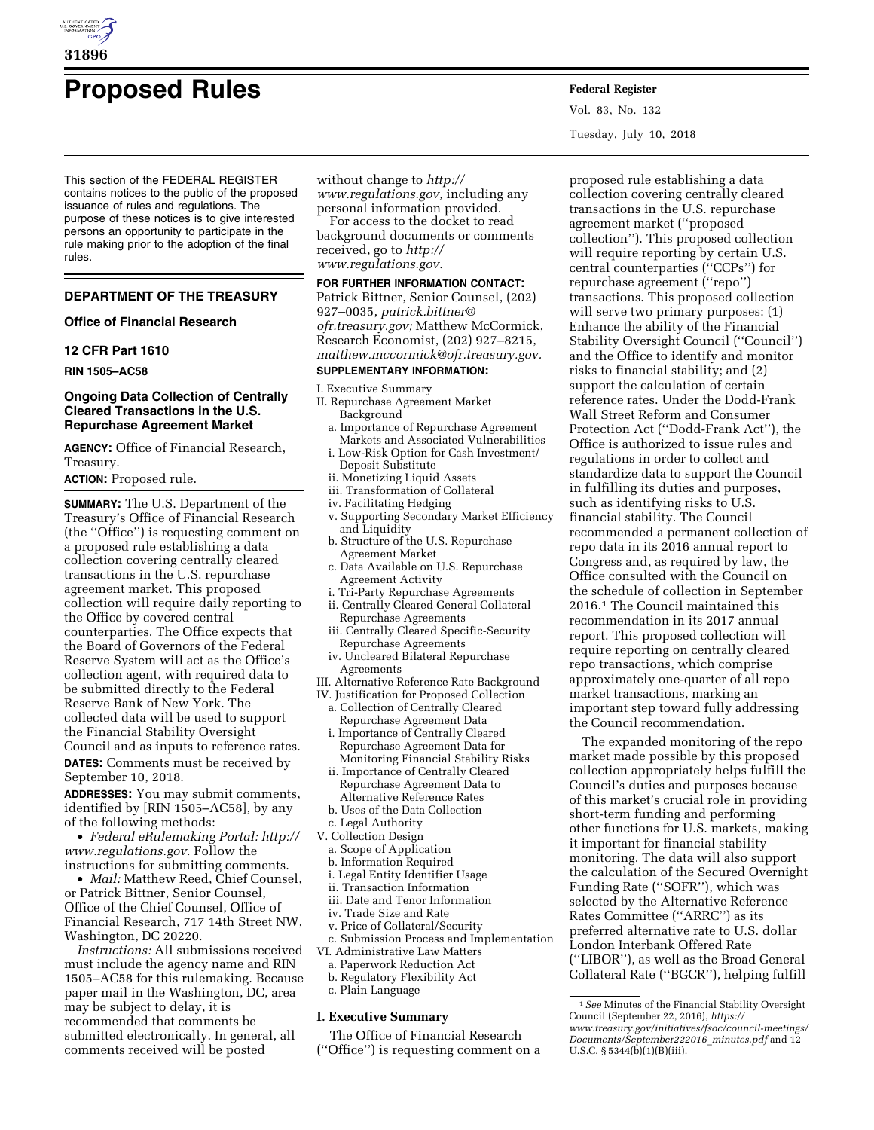

# **Proposed Rules Federal Register**

This section of the FEDERAL REGISTER contains notices to the public of the proposed issuance of rules and regulations. The purpose of these notices is to give interested persons an opportunity to participate in the rule making prior to the adoption of the final rules.

# **DEPARTMENT OF THE TREASURY**

### **Office of Financial Research**

# **12 CFR Part 1610**

**RIN 1505–AC58** 

# **Ongoing Data Collection of Centrally Cleared Transactions in the U.S. Repurchase Agreement Market**

**AGENCY:** Office of Financial Research, Treasury.

**ACTION:** Proposed rule.

**SUMMARY:** The U.S. Department of the Treasury's Office of Financial Research (the ''Office'') is requesting comment on a proposed rule establishing a data collection covering centrally cleared transactions in the U.S. repurchase agreement market. This proposed collection will require daily reporting to the Office by covered central counterparties. The Office expects that the Board of Governors of the Federal Reserve System will act as the Office's collection agent, with required data to be submitted directly to the Federal Reserve Bank of New York. The collected data will be used to support the Financial Stability Oversight Council and as inputs to reference rates.

**DATES:** Comments must be received by September 10, 2018.

**ADDRESSES:** You may submit comments, identified by [RIN 1505–AC58], by any of the following methods:

• *Federal eRulemaking Portal: [http://](http://www.regulations.gov)  [www.regulations.gov.](http://www.regulations.gov)* Follow the instructions for submitting comments.

• *Mail:* Matthew Reed, Chief Counsel, or Patrick Bittner, Senior Counsel, Office of the Chief Counsel, Office of Financial Research, 717 14th Street NW, Washington, DC 20220.

*Instructions:* All submissions received must include the agency name and RIN 1505–AC58 for this rulemaking. Because paper mail in the Washington, DC, area may be subject to delay, it is recommended that comments be submitted electronically. In general, all comments received will be posted

without change to *[http://](http://www.regulations.gov) [www.regulations.gov,](http://www.regulations.gov)* including any personal information provided.

For access to the docket to read background documents or comments received, go to *[http://](http://www.regulations.gov) [www.regulations.gov.](http://www.regulations.gov)* 

#### **FOR FURTHER INFORMATION CONTACT:**

Patrick Bittner, Senior Counsel, (202) 927–0035, *[patrick.bittner@](mailto:patrick.bittner@ofr.treasury.gov) [ofr.treasury.gov;](mailto:patrick.bittner@ofr.treasury.gov)* Matthew McCormick, Research Economist, (202) 927–8215, *[matthew.mccormick@ofr.treasury.gov.](mailto:matthew.mccormick@ofr.treasury.gov)* 

#### **SUPPLEMENTARY INFORMATION:**

#### I. Executive Summary

- II. Repurchase Agreement Market Background
	- a. Importance of Repurchase Agreement Markets and Associated Vulnerabilities
	- i. Low-Risk Option for Cash Investment/ Deposit Substitute
	- ii. Monetizing Liquid Assets
	- iii. Transformation of Collateral
	- iv. Facilitating Hedging
	- v. Supporting Secondary Market Efficiency and Liquidity
	- b. Structure of the U.S. Repurchase Agreement Market
	- c. Data Available on U.S. Repurchase Agreement Activity
	- i. Tri-Party Repurchase Agreements ii. Centrally Cleared General Collateral Repurchase Agreements
	- iii. Centrally Cleared Specific-Security Repurchase Agreements
	- iv. Uncleared Bilateral Repurchase Agreements
- III. Alternative Reference Rate Background
- IV. Justification for Proposed Collection
	- a. Collection of Centrally Cleared Repurchase Agreement Data
	- i. Importance of Centrally Cleared Repurchase Agreement Data for Monitoring Financial Stability Risks
	- ii. Importance of Centrally Cleared Repurchase Agreement Data to Alternative Reference Rates
	- b. Uses of the Data Collection
- c. Legal Authority
- V. Collection Design
	- a. Scope of Application
	- b. Information Required
	- i. Legal Entity Identifier Usage
	- ii. Transaction Information
- iii. Date and Tenor Information
- iv. Trade Size and Rate
- v. Price of Collateral/Security
- c. Submission Process and Implementation
- VI. Administrative Law Matters a. Paperwork Reduction Act
- 
- b. Regulatory Flexibility Act
- c. Plain Language

# **I. Executive Summary**

The Office of Financial Research (''Office'') is requesting comment on a

proposed rule establishing a data collection covering centrally cleared transactions in the U.S. repurchase agreement market (''proposed collection''). This proposed collection will require reporting by certain U.S. central counterparties (''CCPs'') for repurchase agreement (''repo'') transactions. This proposed collection will serve two primary purposes: (1) Enhance the ability of the Financial Stability Oversight Council (''Council'') and the Office to identify and monitor risks to financial stability; and (2) support the calculation of certain reference rates. Under the Dodd-Frank Wall Street Reform and Consumer Protection Act (''Dodd-Frank Act''), the Office is authorized to issue rules and regulations in order to collect and standardize data to support the Council in fulfilling its duties and purposes, such as identifying risks to U.S. financial stability. The Council recommended a permanent collection of repo data in its 2016 annual report to Congress and, as required by law, the Office consulted with the Council on the schedule of collection in September 2016.1 The Council maintained this recommendation in its 2017 annual report. This proposed collection will require reporting on centrally cleared repo transactions, which comprise approximately one-quarter of all repo market transactions, marking an important step toward fully addressing the Council recommendation.

The expanded monitoring of the repo market made possible by this proposed collection appropriately helps fulfill the Council's duties and purposes because of this market's crucial role in providing short-term funding and performing other functions for U.S. markets, making it important for financial stability monitoring. The data will also support the calculation of the Secured Overnight Funding Rate (''SOFR''), which was selected by the Alternative Reference Rates Committee (''ARRC'') as its preferred alternative rate to U.S. dollar London Interbank Offered Rate (''LIBOR''), as well as the Broad General Collateral Rate (''BGCR''), helping fulfill

Vol. 83, No. 132 Tuesday, July 10, 2018

<sup>1</sup>*See* Minutes of the Financial Stability Oversight Council (September 22, 2016), *[https://](https://www.treasury.gov/initiatives/fsoc/council-meetings/Documents/September222016_minutes.pdf) [www.treasury.gov/initiatives/fsoc/council-meetings/](https://www.treasury.gov/initiatives/fsoc/council-meetings/Documents/September222016_minutes.pdf) [Documents/September222016](https://www.treasury.gov/initiatives/fsoc/council-meetings/Documents/September222016_minutes.pdf)*\_*minutes.pdf* and 12 U.S.C.  $\S 5344(b)(1)(B)(iii)$ .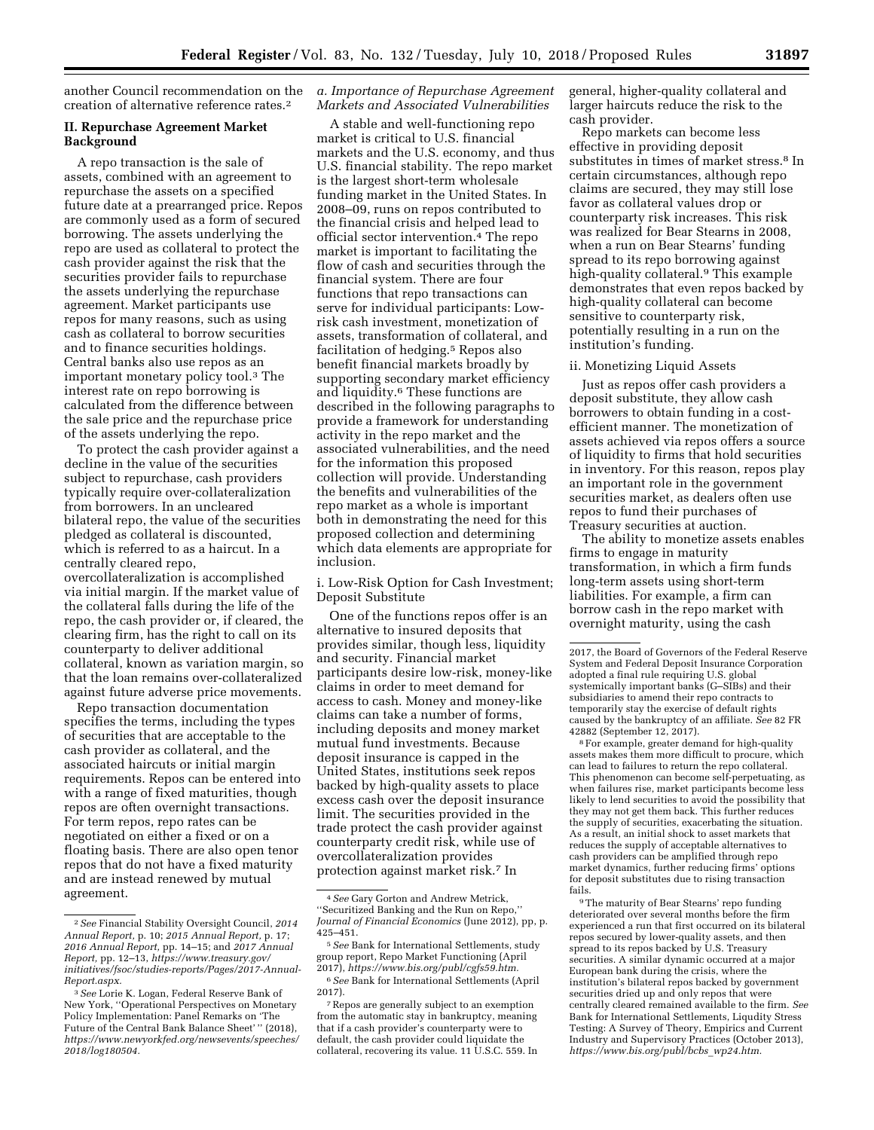another Council recommendation on the creation of alternative reference rates.2

# **II. Repurchase Agreement Market Background**

A repo transaction is the sale of assets, combined with an agreement to repurchase the assets on a specified future date at a prearranged price. Repos are commonly used as a form of secured borrowing. The assets underlying the repo are used as collateral to protect the cash provider against the risk that the securities provider fails to repurchase the assets underlying the repurchase agreement. Market participants use repos for many reasons, such as using cash as collateral to borrow securities and to finance securities holdings. Central banks also use repos as an important monetary policy tool.3 The interest rate on repo borrowing is calculated from the difference between the sale price and the repurchase price of the assets underlying the repo.

To protect the cash provider against a decline in the value of the securities subject to repurchase, cash providers typically require over-collateralization from borrowers. In an uncleared bilateral repo, the value of the securities pledged as collateral is discounted, which is referred to as a haircut. In a centrally cleared repo, overcollateralization is accomplished via initial margin. If the market value of the collateral falls during the life of the repo, the cash provider or, if cleared, the clearing firm, has the right to call on its counterparty to deliver additional collateral, known as variation margin, so that the loan remains over-collateralized against future adverse price movements.

Repo transaction documentation specifies the terms, including the types of securities that are acceptable to the cash provider as collateral, and the associated haircuts or initial margin requirements. Repos can be entered into with a range of fixed maturities, though repos are often overnight transactions. For term repos, repo rates can be negotiated on either a fixed or on a floating basis. There are also open tenor repos that do not have a fixed maturity and are instead renewed by mutual agreement.

# *a. Importance of Repurchase Agreement Markets and Associated Vulnerabilities*

A stable and well-functioning repo market is critical to U.S. financial markets and the U.S. economy, and thus U.S. financial stability. The repo market is the largest short-term wholesale funding market in the United States. In 2008–09, runs on repos contributed to the financial crisis and helped lead to official sector intervention.4 The repo market is important to facilitating the flow of cash and securities through the financial system. There are four functions that repo transactions can serve for individual participants: Lowrisk cash investment, monetization of assets, transformation of collateral, and facilitation of hedging.<sup>5</sup> Repos also benefit financial markets broadly by supporting secondary market efficiency and liquidity.6 These functions are described in the following paragraphs to provide a framework for understanding activity in the repo market and the associated vulnerabilities, and the need for the information this proposed collection will provide. Understanding the benefits and vulnerabilities of the repo market as a whole is important both in demonstrating the need for this proposed collection and determining which data elements are appropriate for inclusion.

i. Low-Risk Option for Cash Investment; Deposit Substitute

One of the functions repos offer is an alternative to insured deposits that provides similar, though less, liquidity and security. Financial market participants desire low-risk, money-like claims in order to meet demand for access to cash. Money and money-like claims can take a number of forms, including deposits and money market mutual fund investments. Because deposit insurance is capped in the United States, institutions seek repos backed by high-quality assets to place excess cash over the deposit insurance limit. The securities provided in the trade protect the cash provider against counterparty credit risk, while use of overcollateralization provides protection against market risk.7 In

general, higher-quality collateral and larger haircuts reduce the risk to the cash provider.

Repo markets can become less effective in providing deposit substitutes in times of market stress.8 In certain circumstances, although repo claims are secured, they may still lose favor as collateral values drop or counterparty risk increases. This risk was realized for Bear Stearns in 2008, when a run on Bear Stearns' funding spread to its repo borrowing against high-quality collateral.9 This example demonstrates that even repos backed by high-quality collateral can become sensitive to counterparty risk, potentially resulting in a run on the institution's funding.

#### ii. Monetizing Liquid Assets

Just as repos offer cash providers a deposit substitute, they allow cash borrowers to obtain funding in a costefficient manner. The monetization of assets achieved via repos offers a source of liquidity to firms that hold securities in inventory. For this reason, repos play an important role in the government securities market, as dealers often use repos to fund their purchases of Treasury securities at auction.

The ability to monetize assets enables firms to engage in maturity transformation, in which a firm funds long-term assets using short-term liabilities. For example, a firm can borrow cash in the repo market with overnight maturity, using the cash

8For example, greater demand for high-quality assets makes them more difficult to procure, which can lead to failures to return the repo collateral. This phenomenon can become self-perpetuating, as when failures rise, market participants become less likely to lend securities to avoid the possibility that they may not get them back. This further reduces the supply of securities, exacerbating the situation. As a result, an initial shock to asset markets that reduces the supply of acceptable alternatives to cash providers can be amplified through repo market dynamics, further reducing firms' options for deposit substitutes due to rising transaction fails.

9The maturity of Bear Stearns' repo funding deteriorated over several months before the firm experienced a run that first occurred on its bilateral repos secured by lower-quality assets, and then spread to its repos backed by U.S. Treasury securities. A similar dynamic occurred at a major European bank during the crisis, where the institution's bilateral repos backed by government securities dried up and only repos that were centrally cleared remained available to the firm. *See*  Bank for International Settlements, Liqudity Stress Testing: A Survey of Theory, Empirics and Current Industry and Supervisory Practices (October 2013), *[https://www.bis.org/publ/bcbs](https://www.bis.org/publ/bcbs_wp24.htm)*\_*wp24.htm.* 

<sup>2</sup>*See* Financial Stability Oversight Council, *2014 Annual Report,* p. 10; *2015 Annual Report,* p. 17; *2016 Annual Report,* pp. 14–15; and *2017 Annual Report,* pp. 12–13, *[https://www.treasury.gov/](https://www.treasury.gov/initiatives/fsoc/studies-reports/Pages/2017-Annual-Report.aspx)  [initiatives/fsoc/studies-reports/Pages/2017-Annual-](https://www.treasury.gov/initiatives/fsoc/studies-reports/Pages/2017-Annual-Report.aspx)[Report.aspx.](https://www.treasury.gov/initiatives/fsoc/studies-reports/Pages/2017-Annual-Report.aspx)* 

<sup>3</sup>*See* Lorie K. Logan, Federal Reserve Bank of New York, ''Operational Perspectives on Monetary Policy Implementation: Panel Remarks on 'The Future of the Central Bank Balance Sheet' '' (2018), *[https://www.newyorkfed.org/newsevents/speeches/](https://www.newyorkfed.org/newsevents/speeches/2018/log180504)  [2018/log180504.](https://www.newyorkfed.org/newsevents/speeches/2018/log180504)* 

<sup>4</sup>*See* Gary Gorton and Andrew Metrick, ''Securitized Banking and the Run on Repo,'' *Journal of Financial Economics* (June 2012), pp, p. 425–451.

<sup>5</sup>*See* Bank for International Settlements, study group report, Repo Market Functioning (April 2017), *[https://www.bis.org/publ/cgfs59.htm.](https://www.bis.org/publ/cgfs59.htm)* 

<sup>6</sup>*See* Bank for International Settlements (April 2017).

<sup>7</sup>Repos are generally subject to an exemption from the automatic stay in bankruptcy, meaning that if a cash provider's counterparty were to default, the cash provider could liquidate the collateral, recovering its value. 11 U.S.C. 559. In

<sup>2017,</sup> the Board of Governors of the Federal Reserve System and Federal Deposit Insurance Corporation adopted a final rule requiring U.S. global systemically important banks (G–SIBs) and their subsidiaries to amend their repo contracts to temporarily stay the exercise of default rights caused by the bankruptcy of an affiliate. *See* 82 FR 42882 (September 12, 2017).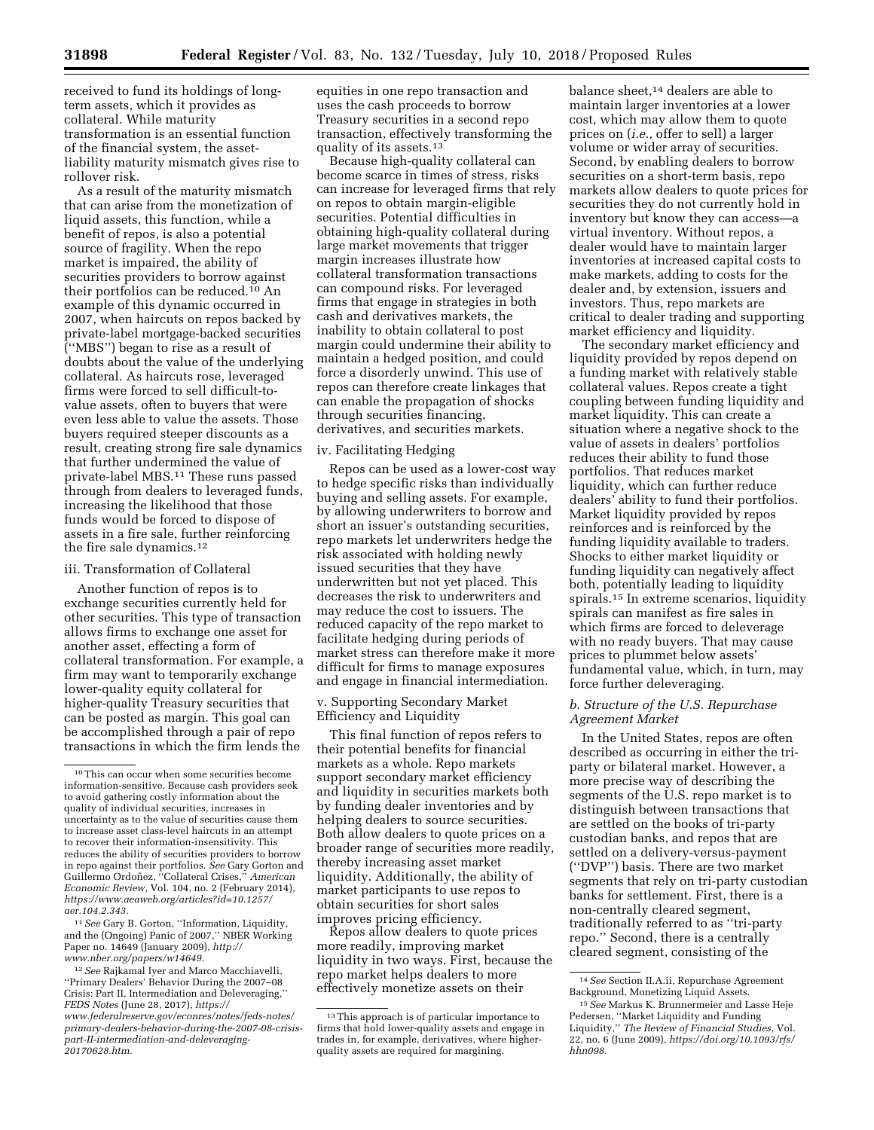received to fund its holdings of longterm assets, which it provides as collateral. While maturity transformation is an essential function of the financial system, the assetliability maturity mismatch gives rise to rollover risk.

As a result of the maturity mismatch that can arise from the monetization of liquid assets, this function, while a benefit of repos, is also a potential source of fragility. When the repo market is impaired, the ability of securities providers to borrow against their portfolios can be reduced.10 An example of this dynamic occurred in 2007, when haircuts on repos backed by private-label mortgage-backed securities (''MBS'') began to rise as a result of doubts about the value of the underlying collateral. As haircuts rose, leveraged firms were forced to sell difficult-tovalue assets, often to buyers that were even less able to value the assets. Those buyers required steeper discounts as a result, creating strong fire sale dynamics that further undermined the value of private-label MBS.11 These runs passed through from dealers to leveraged funds, increasing the likelihood that those funds would be forced to dispose of assets in a fire sale, further reinforcing the fire sale dynamics.12

#### iii. Transformation of Collateral

Another function of repos is to exchange securities currently held for other securities. This type of transaction allows firms to exchange one asset for another asset, effecting a form of collateral transformation. For example, a firm may want to temporarily exchange lower-quality equity collateral for higher-quality Treasury securities that can be posted as margin. This goal can be accomplished through a pair of repo transactions in which the firm lends the

11*See* Gary B. Gorton, ''Information, Liquidity, and the (Ongoing) Panic of 2007,'' NBER Working Paper no. 14649 (January 2009), *[http://](http://www.nber.org/papers/w14649) [www.nber.org/papers/w14649.](http://www.nber.org/papers/w14649)* 

12*See* Rajkamal Iyer and Marco Macchiavelli, ''Primary Dealers' Behavior During the 2007–08 Crisis: Part II, Intermediation and Deleveraging,'' *FEDS Notes* (June 28, 2017), *[https://](https://www.federalreserve.gov/econres/notes/feds-notes/primary-dealers-behavior-during-the-2007-08-crisis-part-II-intermediation-and-deleveraging-20170628.htm) [www.federalreserve.gov/econres/notes/feds-notes/](https://www.federalreserve.gov/econres/notes/feds-notes/primary-dealers-behavior-during-the-2007-08-crisis-part-II-intermediation-and-deleveraging-20170628.htm) [primary-dealers-behavior-during-the-2007-08-crisis](https://www.federalreserve.gov/econres/notes/feds-notes/primary-dealers-behavior-during-the-2007-08-crisis-part-II-intermediation-and-deleveraging-20170628.htm)[part-II-intermediation-and-deleveraging-](https://www.federalreserve.gov/econres/notes/feds-notes/primary-dealers-behavior-during-the-2007-08-crisis-part-II-intermediation-and-deleveraging-20170628.htm)[20170628.htm.](https://www.federalreserve.gov/econres/notes/feds-notes/primary-dealers-behavior-during-the-2007-08-crisis-part-II-intermediation-and-deleveraging-20170628.htm)* 

equities in one repo transaction and uses the cash proceeds to borrow Treasury securities in a second repo transaction, effectively transforming the quality of its assets.<sup>13</sup>

Because high-quality collateral can become scarce in times of stress, risks can increase for leveraged firms that rely on repos to obtain margin-eligible securities. Potential difficulties in obtaining high-quality collateral during large market movements that trigger margin increases illustrate how collateral transformation transactions can compound risks. For leveraged firms that engage in strategies in both cash and derivatives markets, the inability to obtain collateral to post margin could undermine their ability to maintain a hedged position, and could force a disorderly unwind. This use of repos can therefore create linkages that can enable the propagation of shocks through securities financing, derivatives, and securities markets.

#### iv. Facilitating Hedging

Repos can be used as a lower-cost way to hedge specific risks than individually buying and selling assets. For example, by allowing underwriters to borrow and short an issuer's outstanding securities, repo markets let underwriters hedge the risk associated with holding newly issued securities that they have underwritten but not yet placed. This decreases the risk to underwriters and may reduce the cost to issuers. The reduced capacity of the repo market to facilitate hedging during periods of market stress can therefore make it more difficult for firms to manage exposures and engage in financial intermediation.

# v. Supporting Secondary Market Efficiency and Liquidity

This final function of repos refers to their potential benefits for financial markets as a whole. Repo markets support secondary market efficiency and liquidity in securities markets both by funding dealer inventories and by helping dealers to source securities. Both allow dealers to quote prices on a broader range of securities more readily, thereby increasing asset market liquidity. Additionally, the ability of market participants to use repos to obtain securities for short sales improves pricing efficiency.

Repos allow dealers to quote prices more readily, improving market liquidity in two ways. First, because the repo market helps dealers to more effectively monetize assets on their

balance sheet,14 dealers are able to maintain larger inventories at a lower cost, which may allow them to quote prices on (*i.e.,* offer to sell) a larger volume or wider array of securities. Second, by enabling dealers to borrow securities on a short-term basis, repo markets allow dealers to quote prices for securities they do not currently hold in inventory but know they can access—a virtual inventory. Without repos, a dealer would have to maintain larger inventories at increased capital costs to make markets, adding to costs for the dealer and, by extension, issuers and investors. Thus, repo markets are critical to dealer trading and supporting market efficiency and liquidity.

The secondary market efficiency and liquidity provided by repos depend on a funding market with relatively stable collateral values. Repos create a tight coupling between funding liquidity and market liquidity. This can create a situation where a negative shock to the value of assets in dealers' portfolios reduces their ability to fund those portfolios. That reduces market liquidity, which can further reduce dealers' ability to fund their portfolios. Market liquidity provided by repos reinforces and is reinforced by the funding liquidity available to traders. Shocks to either market liquidity or funding liquidity can negatively affect both, potentially leading to liquidity spirals.15 In extreme scenarios, liquidity spirals can manifest as fire sales in which firms are forced to deleverage with no ready buyers. That may cause prices to plummet below assets' fundamental value, which, in turn, may force further deleveraging.

# *b. Structure of the U.S. Repurchase Agreement Market*

In the United States, repos are often described as occurring in either the triparty or bilateral market. However, a more precise way of describing the segments of the U.S. repo market is to distinguish between transactions that are settled on the books of tri-party custodian banks, and repos that are settled on a delivery-versus-payment (''DVP'') basis. There are two market segments that rely on tri-party custodian banks for settlement. First, there is a non-centrally cleared segment, traditionally referred to as ''tri-party repo.'' Second, there is a centrally cleared segment, consisting of the

 $^{\rm 10}\!$  This can occur when some securities become information-sensitive. Because cash providers seek to avoid gathering costly information about the quality of individual securities, increases in uncertainty as to the value of securities cause them to increase asset class-level haircuts in an attempt to recover their information-insensitivity. This reduces the ability of securities providers to borrow in repo against their portfolios. *See* Gary Gorton and Guillermo Ordoñez, "Collateral Crises," American *Economic Review,* Vol. 104, no. 2 (February 2014), *[https://www.aeaweb.org/articles?id=10.1257/](https://www.aeaweb.org/articles?id=10.1257/aer.104.2.343)  [aer.104.2.343.](https://www.aeaweb.org/articles?id=10.1257/aer.104.2.343)* 

<sup>13</sup>This approach is of particular importance to firms that hold lower-quality assets and engage in trades in, for example, derivatives, where higherquality assets are required for margining.

<sup>14</sup>*See* Section II.A.ii, Repurchase Agreement Background, Monetizing Liquid Assets.

<sup>15</sup>*See* Markus K. Brunnermeier and Lasse Heje Pedersen, ''Market Liquidity and Funding Liquidity,'' *The Review of Financial Studies,* Vol. 22, no. 6 (June 2009), *[https://doi.org/10.1093/rfs/](https://doi.org/10.1093/rfs/hhn098)  [hhn098.](https://doi.org/10.1093/rfs/hhn098)*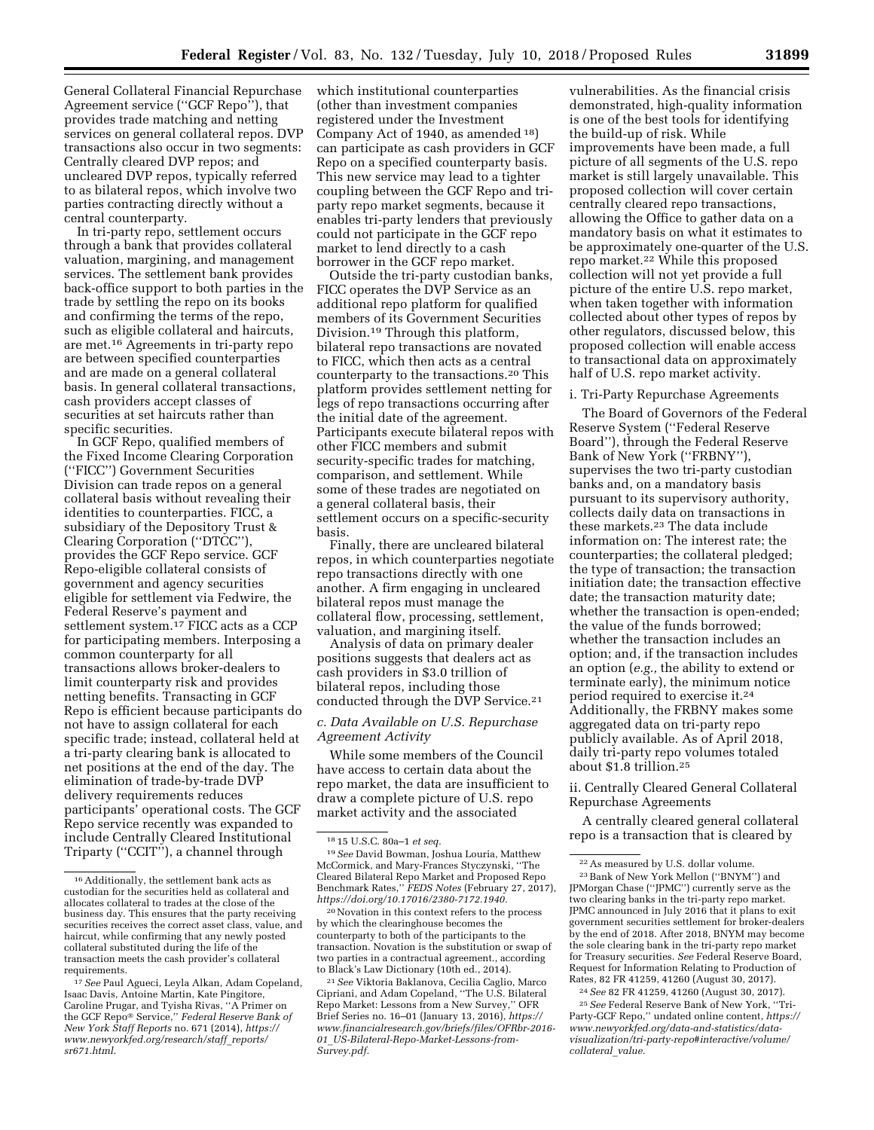General Collateral Financial Repurchase Agreement service (''GCF Repo''), that provides trade matching and netting services on general collateral repos. DVP transactions also occur in two segments: Centrally cleared DVP repos; and uncleared DVP repos, typically referred to as bilateral repos, which involve two parties contracting directly without a central counterparty.

In tri-party repo, settlement occurs through a bank that provides collateral valuation, margining, and management services. The settlement bank provides back-office support to both parties in the trade by settling the repo on its books and confirming the terms of the repo, such as eligible collateral and haircuts, are met.16 Agreements in tri-party repo are between specified counterparties and are made on a general collateral basis. In general collateral transactions, cash providers accept classes of securities at set haircuts rather than specific securities.

In GCF Repo, qualified members of the Fixed Income Clearing Corporation (''FICC'') Government Securities Division can trade repos on a general collateral basis without revealing their identities to counterparties. FICC, a subsidiary of the Depository Trust & Clearing Corporation (''DTCC''), provides the GCF Repo service. GCF Repo-eligible collateral consists of government and agency securities eligible for settlement via Fedwire, the Federal Reserve's payment and settlement system.<sup>17</sup> FICC acts as a CCP for participating members. Interposing a common counterparty for all transactions allows broker-dealers to limit counterparty risk and provides netting benefits. Transacting in GCF Repo is efficient because participants do not have to assign collateral for each specific trade; instead, collateral held at a tri-party clearing bank is allocated to net positions at the end of the day. The elimination of trade-by-trade DVP delivery requirements reduces participants' operational costs. The GCF Repo service recently was expanded to include Centrally Cleared Institutional Triparty (''CCIT''), a channel through

which institutional counterparties (other than investment companies registered under the Investment Company Act of 1940, as amended 18) can participate as cash providers in GCF Repo on a specified counterparty basis. This new service may lead to a tighter coupling between the GCF Repo and triparty repo market segments, because it enables tri-party lenders that previously could not participate in the GCF repo market to lend directly to a cash borrower in the GCF repo market.

Outside the tri-party custodian banks, FICC operates the DVP Service as an additional repo platform for qualified members of its Government Securities Division.19 Through this platform, bilateral repo transactions are novated to FICC, which then acts as a central counterparty to the transactions.20 This platform provides settlement netting for legs of repo transactions occurring after the initial date of the agreement. Participants execute bilateral repos with other FICC members and submit security-specific trades for matching, comparison, and settlement. While some of these trades are negotiated on a general collateral basis, their settlement occurs on a specific-security basis.

Finally, there are uncleared bilateral repos, in which counterparties negotiate repo transactions directly with one another. A firm engaging in uncleared bilateral repos must manage the collateral flow, processing, settlement, valuation, and margining itself.

Analysis of data on primary dealer positions suggests that dealers act as cash providers in \$3.0 trillion of bilateral repos, including those conducted through the DVP Service.<sup>21</sup>

# *c. Data Available on U.S. Repurchase Agreement Activity*

While some members of the Council have access to certain data about the repo market, the data are insufficient to draw a complete picture of U.S. repo market activity and the associated

20Novation in this context refers to the process by which the clearinghouse becomes the counterparty to both of the participants to the transaction. Novation is the substitution or swap of two parties in a contractual agreement., according to Black's Law Dictionary (10th ed., 2014).

21*See* Viktoria Baklanova, Cecilia Caglio, Marco Cipriani, and Adam Copeland, ''The U.S. Bilateral Repo Market: Lessons from a New Survey,'' OFR Brief Series no. 16–01 (January 13, 2016), *[https://](https://www.financialresearch.gov/briefs/files/OFRbr-2016-01_US-Bilateral-Repo-Market-Lessons-from-Survey.pdf) [www.financialresearch.gov/briefs/files/OFRbr-2016-](https://www.financialresearch.gov/briefs/files/OFRbr-2016-01_US-Bilateral-Repo-Market-Lessons-from-Survey.pdf) 01*\_*[US-Bilateral-Repo-Market-Lessons-from-](https://www.financialresearch.gov/briefs/files/OFRbr-2016-01_US-Bilateral-Repo-Market-Lessons-from-Survey.pdf)[Survey.pdf.](https://www.financialresearch.gov/briefs/files/OFRbr-2016-01_US-Bilateral-Repo-Market-Lessons-from-Survey.pdf)* 

vulnerabilities. As the financial crisis demonstrated, high-quality information is one of the best tools for identifying the build-up of risk. While improvements have been made, a full picture of all segments of the U.S. repo market is still largely unavailable. This proposed collection will cover certain centrally cleared repo transactions, allowing the Office to gather data on a mandatory basis on what it estimates to be approximately one-quarter of the U.S. repo market.22 While this proposed collection will not yet provide a full picture of the entire U.S. repo market, when taken together with information collected about other types of repos by other regulators, discussed below, this proposed collection will enable access to transactional data on approximately half of U.S. repo market activity.

#### i. Tri-Party Repurchase Agreements

The Board of Governors of the Federal Reserve System (''Federal Reserve Board''), through the Federal Reserve Bank of New York ("FRBNY"), supervises the two tri-party custodian banks and, on a mandatory basis pursuant to its supervisory authority, collects daily data on transactions in these markets.23 The data include information on: The interest rate; the counterparties; the collateral pledged; the type of transaction; the transaction initiation date; the transaction effective date; the transaction maturity date; whether the transaction is open-ended; the value of the funds borrowed; whether the transaction includes an option; and, if the transaction includes an option (*e.g.,* the ability to extend or terminate early), the minimum notice period required to exercise it.24 Additionally, the FRBNY makes some aggregated data on tri-party repo publicly available. As of April 2018, daily tri-party repo volumes totaled about \$1.8 trillion.25

ii. Centrally Cleared General Collateral Repurchase Agreements

A centrally cleared general collateral repo is a transaction that is cleared by

24*See* 82 FR 41259, 41260 (August 30, 2017).

25*See* Federal Reserve Bank of New York, ''Tri-Party-GCF Repo,'' undated online content, *[https://](https://www.newyorkfed.org/data-and-statistics/data-visualization/tri-party-repo#interactive/volume/collateral_value)  [www.newyorkfed.org/data-and-statistics/data](https://www.newyorkfed.org/data-and-statistics/data-visualization/tri-party-repo#interactive/volume/collateral_value)[visualization/tri-party-repo#interactive/volume/](https://www.newyorkfed.org/data-and-statistics/data-visualization/tri-party-repo#interactive/volume/collateral_value)  [collateral](https://www.newyorkfed.org/data-and-statistics/data-visualization/tri-party-repo#interactive/volume/collateral_value)*\_*value.* 

<sup>16</sup>Additionally, the settlement bank acts as custodian for the securities held as collateral and allocates collateral to trades at the close of the business day. This ensures that the party receiving securities receives the correct asset class, value, and haircut, while confirming that any newly posted collateral substituted during the life of the transaction meets the cash provider's collateral requirements.

<sup>17</sup>*See* Paul Agueci, Leyla Alkan, Adam Copeland, Isaac Davis, Antoine Martin, Kate Pingitore, Caroline Prugar, and Tyisha Rivas, ''A Primer on the GCF Repo® Service,'' *Federal Reserve Bank of New York Staff Reports* no. 671 (2014), *[https://](https://www.newyorkfed.org/research/staff_reports/sr671.html) [www.newyorkfed.org/research/staff](https://www.newyorkfed.org/research/staff_reports/sr671.html)*\_*reports/ [sr671.html.](https://www.newyorkfed.org/research/staff_reports/sr671.html)* 

<sup>18</sup> 15 U.S.C. 80a–1 *et seq.* 

<sup>19</sup>*See* David Bowman, Joshua Louria, Matthew McCormick, and Mary-Frances Styczynski, ''The Cleared Bilateral Repo Market and Proposed Repo Benchmark Rates,'' *FEDS Notes* (February 27, 2017), *[https://doi.org/10.17016/2380-7172.1940.](https://doi.org/10.17016/2380-7172.1940)* 

<sup>22</sup>As measured by U.S. dollar volume.

<sup>23</sup>Bank of New York Mellon (''BNYM'') and JPMorgan Chase (''JPMC'') currently serve as the two clearing banks in the tri-party repo market. JPMC announced in July 2016 that it plans to exit government securities settlement for broker-dealers by the end of 2018. After 2018, BNYM may become the sole clearing bank in the tri-party repo market for Treasury securities. *See* Federal Reserve Board, Request for Information Relating to Production of Rates, 82 FR 41259, 41260 (August 30, 2017).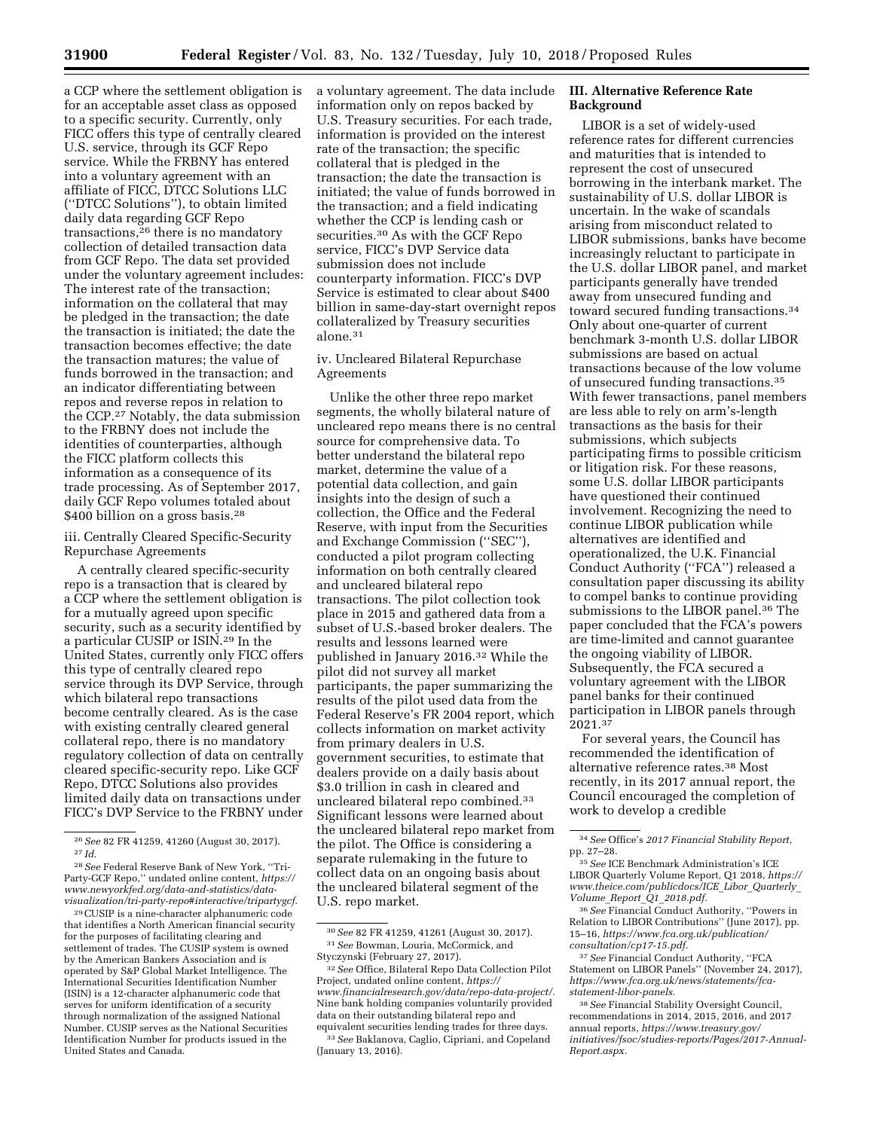a CCP where the settlement obligation is for an acceptable asset class as opposed to a specific security. Currently, only FICC offers this type of centrally cleared U.S. service, through its GCF Repo service. While the FRBNY has entered into a voluntary agreement with an affiliate of FICC, DTCC Solutions LLC (''DTCC Solutions''), to obtain limited daily data regarding GCF Repo transactions,26 there is no mandatory collection of detailed transaction data from GCF Repo. The data set provided under the voluntary agreement includes: The interest rate of the transaction; information on the collateral that may be pledged in the transaction; the date the transaction is initiated; the date the transaction becomes effective; the date the transaction matures; the value of funds borrowed in the transaction; and an indicator differentiating between repos and reverse repos in relation to the CCP.27 Notably, the data submission to the FRBNY does not include the identities of counterparties, although the FICC platform collects this information as a consequence of its trade processing. As of September 2017, daily GCF Repo volumes totaled about \$400 billion on a gross basis.<sup>28</sup>

iii. Centrally Cleared Specific-Security Repurchase Agreements

A centrally cleared specific-security repo is a transaction that is cleared by a CCP where the settlement obligation is for a mutually agreed upon specific security, such as a security identified by a particular CUSIP or ISIN.29 In the United States, currently only FICC offers this type of centrally cleared repo service through its DVP Service, through which bilateral repo transactions become centrally cleared. As is the case with existing centrally cleared general collateral repo, there is no mandatory regulatory collection of data on centrally cleared specific-security repo. Like GCF Repo, DTCC Solutions also provides limited daily data on transactions under FICC's DVP Service to the FRBNY under

29CUSIP is a nine-character alphanumeric code that identifies a North American financial security for the purposes of facilitating clearing and settlement of trades. The CUSIP system is owned by the American Bankers Association and is operated by S&P Global Market Intelligence. The International Securities Identification Number (ISIN) is a 12-character alphanumeric code that serves for uniform identification of a security through normalization of the assigned National Number. CUSIP serves as the National Securities Identification Number for products issued in the United States and Canada.

a voluntary agreement. The data include information only on repos backed by U.S. Treasury securities. For each trade, information is provided on the interest rate of the transaction; the specific collateral that is pledged in the transaction; the date the transaction is initiated; the value of funds borrowed in the transaction; and a field indicating whether the CCP is lending cash or securities.30 As with the GCF Repo service, FICC's DVP Service data submission does not include counterparty information. FICC's DVP Service is estimated to clear about \$400 billion in same-day-start overnight repos collateralized by Treasury securities alone.31

# iv. Uncleared Bilateral Repurchase Agreements

Unlike the other three repo market segments, the wholly bilateral nature of uncleared repo means there is no central source for comprehensive data. To better understand the bilateral repo market, determine the value of a potential data collection, and gain insights into the design of such a collection, the Office and the Federal Reserve, with input from the Securities and Exchange Commission (''SEC''), conducted a pilot program collecting information on both centrally cleared and uncleared bilateral repo transactions. The pilot collection took place in 2015 and gathered data from a subset of U.S.-based broker dealers. The results and lessons learned were published in January 2016.32 While the pilot did not survey all market participants, the paper summarizing the results of the pilot used data from the Federal Reserve's FR 2004 report, which collects information on market activity from primary dealers in U.S. government securities, to estimate that dealers provide on a daily basis about \$3.0 trillion in cash in cleared and uncleared bilateral repo combined.33 Significant lessons were learned about the uncleared bilateral repo market from the pilot. The Office is considering a separate rulemaking in the future to collect data on an ongoing basis about the uncleared bilateral segment of the U.S. repo market.

# **III. Alternative Reference Rate Background**

LIBOR is a set of widely-used reference rates for different currencies and maturities that is intended to represent the cost of unsecured borrowing in the interbank market. The sustainability of U.S. dollar LIBOR is uncertain. In the wake of scandals arising from misconduct related to LIBOR submissions, banks have become increasingly reluctant to participate in the U.S. dollar LIBOR panel, and market participants generally have trended away from unsecured funding and toward secured funding transactions.34 Only about one-quarter of current benchmark 3-month U.S. dollar LIBOR submissions are based on actual transactions because of the low volume of unsecured funding transactions.35 With fewer transactions, panel members are less able to rely on arm's-length transactions as the basis for their submissions, which subjects participating firms to possible criticism or litigation risk. For these reasons, some U.S. dollar LIBOR participants have questioned their continued involvement. Recognizing the need to continue LIBOR publication while alternatives are identified and operationalized, the U.K. Financial Conduct Authority (''FCA'') released a consultation paper discussing its ability to compel banks to continue providing submissions to the LIBOR panel.36 The paper concluded that the FCA's powers are time-limited and cannot guarantee the ongoing viability of LIBOR. Subsequently, the FCA secured a voluntary agreement with the LIBOR panel banks for their continued participation in LIBOR panels through 2021.37

For several years, the Council has recommended the identification of alternative reference rates.38 Most recently, in its 2017 annual report, the Council encouraged the completion of work to develop a credible

<sup>26</sup>*See* 82 FR 41259, 41260 (August 30, 2017). 27 *Id.* 

<sup>28</sup>*See* Federal Reserve Bank of New York, ''Tri-Party-GCF Repo,'' undated online content, *[https://](https://www.newyorkfed.org/data-and-statistics/data-visualization/tri-party-repo#interactive/tripartygcf)  [www.newyorkfed.org/data-and-statistics/data](https://www.newyorkfed.org/data-and-statistics/data-visualization/tri-party-repo#interactive/tripartygcf)[visualization/tri-party-repo#interactive/tripartygcf.](https://www.newyorkfed.org/data-and-statistics/data-visualization/tri-party-repo#interactive/tripartygcf)* 

<sup>30</sup>*See* 82 FR 41259, 41261 (August 30, 2017). 31*See* Bowman, Louria, McCormick, and Styczynski (February 27, 2017).

<sup>32</sup>*See* Office, Bilateral Repo Data Collection Pilot Project, undated online content, *[https://](https://www.financialresearch.gov/data/repo-data-project/) [www.financialresearch.gov/data/repo-data-project/.](https://www.financialresearch.gov/data/repo-data-project/)*  Nine bank holding companies voluntarily provided data on their outstanding bilateral repo and

equivalent securities lending trades for three days. 33*See* Baklanova, Caglio, Cipriani, and Copeland (January 13, 2016).

<sup>34</sup>*See* Office's *2017 Financial Stability Report,*  pp. 27–28.

<sup>35</sup>*See* ICE Benchmark Administration's ICE LIBOR Quarterly Volume Report, Q1 2018, *[https://](https://www.theice.com/publicdocs/ICE_Libor_Quarterly_Volume_Report_Q1_2018.pdf)  [www.theice.com/publicdocs/ICE](https://www.theice.com/publicdocs/ICE_Libor_Quarterly_Volume_Report_Q1_2018.pdf)*\_*Libor*\_*Quarterly*\_ *Volume*\_*Report*\_*Q1*\_*[2018.pdf.](https://www.theice.com/publicdocs/ICE_Libor_Quarterly_Volume_Report_Q1_2018.pdf)* 

<sup>36</sup>*See* Financial Conduct Authority, ''Powers in Relation to LIBOR Contributions'' (June 2017), pp. 15–16, *[https://www.fca.org.uk/publication/](https://www.fca.org.uk/publication/consultation/cp17-15.pdf) [consultation/cp17-15.pdf.](https://www.fca.org.uk/publication/consultation/cp17-15.pdf)* 

<sup>37</sup>*See* Financial Conduct Authority, ''FCA Statement on LIBOR Panels'' (November 24, 2017), *[https://www.fca.org.uk/news/statements/fca](https://www.fca.org.uk/news/statements/fca-statement-libor-panels)[statement-libor-panels.](https://www.fca.org.uk/news/statements/fca-statement-libor-panels)* 

<sup>38</sup>*See* Financial Stability Oversight Council, recommendations in 2014, 2015, 2016, and 2017 annual reports, *[https://www.treasury.gov/](https://www.treasury.gov/initiatives/fsoc/studies-reports/Pages/2017-Annual-Report.aspx) [initiatives/fsoc/studies-reports/Pages/2017-Annual-](https://www.treasury.gov/initiatives/fsoc/studies-reports/Pages/2017-Annual-Report.aspx)[Report.aspx.](https://www.treasury.gov/initiatives/fsoc/studies-reports/Pages/2017-Annual-Report.aspx)*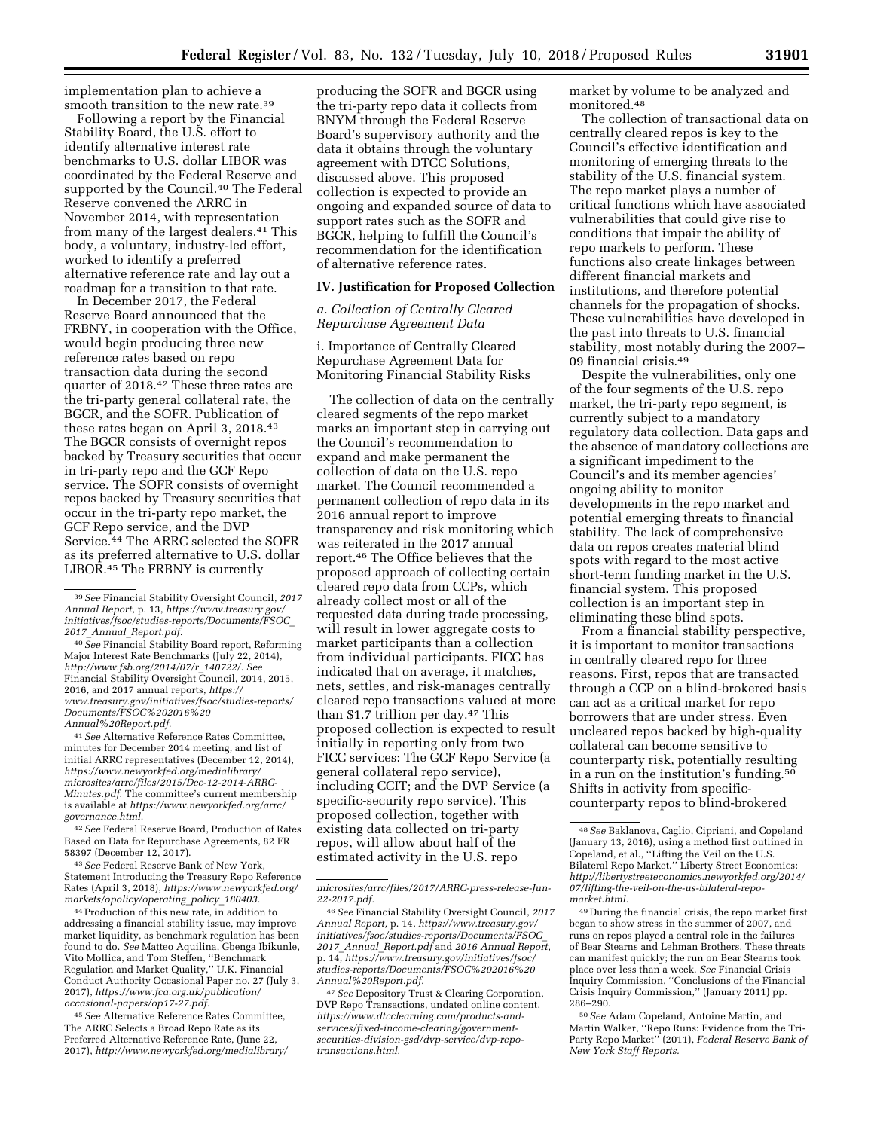implementation plan to achieve a smooth transition to the new rate.39

Following a report by the Financial Stability Board, the U.S. effort to identify alternative interest rate benchmarks to U.S. dollar LIBOR was coordinated by the Federal Reserve and supported by the Council.<sup>40</sup> The Federal Reserve convened the ARRC in November 2014, with representation from many of the largest dealers.41 This body, a voluntary, industry-led effort, worked to identify a preferred alternative reference rate and lay out a roadmap for a transition to that rate.

In December 2017, the Federal Reserve Board announced that the FRBNY, in cooperation with the Office, would begin producing three new reference rates based on repo transaction data during the second quarter of 2018.42 These three rates are the tri-party general collateral rate, the BGCR, and the SOFR. Publication of these rates began on April 3, 2018.43 The BGCR consists of overnight repos backed by Treasury securities that occur in tri-party repo and the GCF Repo service. The SOFR consists of overnight repos backed by Treasury securities that occur in the tri-party repo market, the GCF Repo service, and the DVP Service.44 The ARRC selected the SOFR as its preferred alternative to U.S. dollar LIBOR.45 The FRBNY is currently

40*See* Financial Stability Board report, Reforming Major Interest Rate Benchmarks (July 22, 2014), *[http://www.fsb.org/2014/07/r](http://www.fsb.org/2014/07/r_140722/)*\_*140722/. See*  Financial Stability Oversight Council, 2014, 2015, 2016, and 2017 annual reports, *[https://](https://www.treasury.gov/initiatives/fsoc/studies-reports/Documents/FSOC%202016%20Annual%20Report.pdf) [www.treasury.gov/initiatives/fsoc/studies-reports/](https://www.treasury.gov/initiatives/fsoc/studies-reports/Documents/FSOC%202016%20Annual%20Report.pdf) [Documents/FSOC%202016%20](https://www.treasury.gov/initiatives/fsoc/studies-reports/Documents/FSOC%202016%20Annual%20Report.pdf) [Annual%20Report.pdf.](https://www.treasury.gov/initiatives/fsoc/studies-reports/Documents/FSOC%202016%20Annual%20Report.pdf)* 

41*See* Alternative Reference Rates Committee, minutes for December 2014 meeting, and list of initial ARRC representatives (December 12, 2014), *[https://www.newyorkfed.org/medialibrary/](https://www.newyorkfed.org/medialibrary/microsites/arrc/files/2015/Dec-12-2014-ARRC-Minutes.pdf)  [microsites/arrc/files/2015/Dec-12-2014-ARRC-](https://www.newyorkfed.org/medialibrary/microsites/arrc/files/2015/Dec-12-2014-ARRC-Minutes.pdf)[Minutes.pdf](https://www.newyorkfed.org/medialibrary/microsites/arrc/files/2015/Dec-12-2014-ARRC-Minutes.pdf)*. The committee's current membership is available at *[https://www.newyorkfed.org/arrc/](https://www.newyorkfed.org/arrc/governance.html) [governance.html](https://www.newyorkfed.org/arrc/governance.html)*.

42*See* Federal Reserve Board, Production of Rates Based on Data for Repurchase Agreements, 82 FR 58397 (December 12, 2017).

43*See* Federal Reserve Bank of New York, Statement Introducing the Treasury Repo Reference Rates (April 3, 2018), *[https://www.newyorkfed.org/](https://www.newyorkfed.org/markets/opolicy/operating_policy_180403)  [markets/opolicy/operating](https://www.newyorkfed.org/markets/opolicy/operating_policy_180403)*\_*policy*\_*180403.* 

44Production of this new rate, in addition to addressing a financial stability issue, may improve market liquidity, as benchmark regulation has been found to do. *See* Matteo Aquilina, Gbenga Ibikunle, Vito Mollica, and Tom Steffen, ''Benchmark Regulation and Market Quality,'' U.K. Financial Conduct Authority Occasional Paper no. 27 (July 3, 2017), *[https://www.fca.org.uk/publication/](https://www.fca.org.uk/publication/occasional-papers/op17-27.pdf)  [occasional-papers/op17-27.pdf.](https://www.fca.org.uk/publication/occasional-papers/op17-27.pdf)* 

45*See* Alternative Reference Rates Committee, The ARRC Selects a Broad Repo Rate as its Preferred Alternative Reference Rate, (June 22, 2017), *[http://www.newyorkfed.org/medialibrary/](http://www.newyorkfed.org/medialibrary/microsites/arrc/files/2017/ARRC-press-release-Jun-22-2017.pdf)* 

producing the SOFR and BGCR using the tri-party repo data it collects from BNYM through the Federal Reserve Board's supervisory authority and the data it obtains through the voluntary agreement with DTCC Solutions, discussed above. This proposed collection is expected to provide an ongoing and expanded source of data to support rates such as the SOFR and BGCR, helping to fulfill the Council's recommendation for the identification of alternative reference rates.

# **IV. Justification for Proposed Collection**

*a. Collection of Centrally Cleared Repurchase Agreement Data* 

i. Importance of Centrally Cleared Repurchase Agreement Data for Monitoring Financial Stability Risks

The collection of data on the centrally cleared segments of the repo market marks an important step in carrying out the Council's recommendation to expand and make permanent the collection of data on the U.S. repo market. The Council recommended a permanent collection of repo data in its 2016 annual report to improve transparency and risk monitoring which was reiterated in the 2017 annual report.46 The Office believes that the proposed approach of collecting certain cleared repo data from CCPs, which already collect most or all of the requested data during trade processing, will result in lower aggregate costs to market participants than a collection from individual participants. FICC has indicated that on average, it matches, nets, settles, and risk-manages centrally cleared repo transactions valued at more than \$1.7 trillion per day.47 This proposed collection is expected to result initially in reporting only from two FICC services: The GCF Repo Service (a general collateral repo service), including CCIT; and the DVP Service (a specific-security repo service). This proposed collection, together with existing data collected on tri-party repos, will allow about half of the estimated activity in the U.S. repo

47*See* Depository Trust & Clearing Corporation, DVP Repo Transactions, undated online content, *[https://www.dtcclearning.com/products-and](https://www.dtcclearning.com/products-and-services/fixed-income-clearing/government-securities-division-gsd/dvp-service/dvp-repo-transactions.html)[services/fixed-income-clearing/government](https://www.dtcclearning.com/products-and-services/fixed-income-clearing/government-securities-division-gsd/dvp-service/dvp-repo-transactions.html)[securities-division-gsd/dvp-service/dvp-repo](https://www.dtcclearning.com/products-and-services/fixed-income-clearing/government-securities-division-gsd/dvp-service/dvp-repo-transactions.html)[transactions.html.](https://www.dtcclearning.com/products-and-services/fixed-income-clearing/government-securities-division-gsd/dvp-service/dvp-repo-transactions.html)* 

market by volume to be analyzed and monitored.48

The collection of transactional data on centrally cleared repos is key to the Council's effective identification and monitoring of emerging threats to the stability of the U.S. financial system. The repo market plays a number of critical functions which have associated vulnerabilities that could give rise to conditions that impair the ability of repo markets to perform. These functions also create linkages between different financial markets and institutions, and therefore potential channels for the propagation of shocks. These vulnerabilities have developed in the past into threats to U.S. financial stability, most notably during the 2007– 09 financial crisis.49

Despite the vulnerabilities, only one of the four segments of the U.S. repo market, the tri-party repo segment, is currently subject to a mandatory regulatory data collection. Data gaps and the absence of mandatory collections are a significant impediment to the Council's and its member agencies' ongoing ability to monitor developments in the repo market and potential emerging threats to financial stability. The lack of comprehensive data on repos creates material blind spots with regard to the most active short-term funding market in the U.S. financial system. This proposed collection is an important step in eliminating these blind spots.

From a financial stability perspective, it is important to monitor transactions in centrally cleared repo for three reasons. First, repos that are transacted through a CCP on a blind-brokered basis can act as a critical market for repo borrowers that are under stress. Even uncleared repos backed by high-quality collateral can become sensitive to counterparty risk, potentially resulting in a run on the institution's funding.50 Shifts in activity from specificcounterparty repos to blind-brokered

49 During the financial crisis, the repo market first began to show stress in the summer of 2007, and runs on repos played a central role in the failures of Bear Stearns and Lehman Brothers. These threats can manifest quickly; the run on Bear Stearns took place over less than a week. *See* Financial Crisis Inquiry Commission, ''Conclusions of the Financial Crisis Inquiry Commission,'' (January 2011) pp. 286–290.

50*See* Adam Copeland, Antoine Martin, and Martin Walker, ''Repo Runs: Evidence from the Tri-Party Repo Market'' (2011), *Federal Reserve Bank of New York Staff Reports.* 

<sup>39</sup>*See* Financial Stability Oversight Council, *2017 Annual Report,* p. 13, *[https://www.treasury.gov/](https://www.treasury.gov/initiatives/fsoc/studies-reports/Documents/FSOC_2017_Annual_Report.pdf)  [initiatives/fsoc/studies-reports/Documents/FSOC](https://www.treasury.gov/initiatives/fsoc/studies-reports/Documents/FSOC_2017_Annual_Report.pdf)*\_ *2017*\_*Annual*\_*[Report.pdf.](https://www.treasury.gov/initiatives/fsoc/studies-reports/Documents/FSOC_2017_Annual_Report.pdf)* 

*[microsites/arrc/files/2017/ARRC-press-release-Jun-](http://www.newyorkfed.org/medialibrary/microsites/arrc/files/2017/ARRC-press-release-Jun-22-2017.pdf)[22-2017.pdf.](http://www.newyorkfed.org/medialibrary/microsites/arrc/files/2017/ARRC-press-release-Jun-22-2017.pdf)* 

<sup>46</sup>*See* Financial Stability Oversight Council, *2017 Annual Report,* p. 14, *[https://www.treasury.gov/](https://www.treasury.gov/initiatives/fsoc/studies-reports/Documents/FSOC_2017_Annual_Report.pdf)  [initiatives/fsoc/studies-reports/Documents/FSOC](https://www.treasury.gov/initiatives/fsoc/studies-reports/Documents/FSOC_2017_Annual_Report.pdf)*\_ *2017*\_*Annual*\_*[Report.pdf](https://www.treasury.gov/initiatives/fsoc/studies-reports/Documents/FSOC_2017_Annual_Report.pdf)* and *2016 Annual Report,*  p. 14, *[https://www.treasury.gov/initiatives/fsoc/](https://www.treasury.gov/initiatives/fsoc/studies-reports/Documents/FSOC%202016%20Annual%20Report.pdf) [studies-reports/Documents/FSOC%202016%20](https://www.treasury.gov/initiatives/fsoc/studies-reports/Documents/FSOC%202016%20Annual%20Report.pdf) [Annual%20Report.pdf.](https://www.treasury.gov/initiatives/fsoc/studies-reports/Documents/FSOC%202016%20Annual%20Report.pdf)* 

<sup>48</sup>*See* Baklanova, Caglio, Cipriani, and Copeland (January 13, 2016), using a method first outlined in Copeland, et al., ''Lifting the Veil on the U.S. Bilateral Repo Market.'' Liberty Street Economics: *[http://libertystreeteconomics.newyorkfed.org/2014/](http://libertystreeteconomics.newyorkfed.org/2014/07/lifting-the-veil-on-the-us-bilateral-repo-market.html) [07/lifting-the-veil-on-the-us-bilateral-repo](http://libertystreeteconomics.newyorkfed.org/2014/07/lifting-the-veil-on-the-us-bilateral-repo-market.html)[market.html.](http://libertystreeteconomics.newyorkfed.org/2014/07/lifting-the-veil-on-the-us-bilateral-repo-market.html)*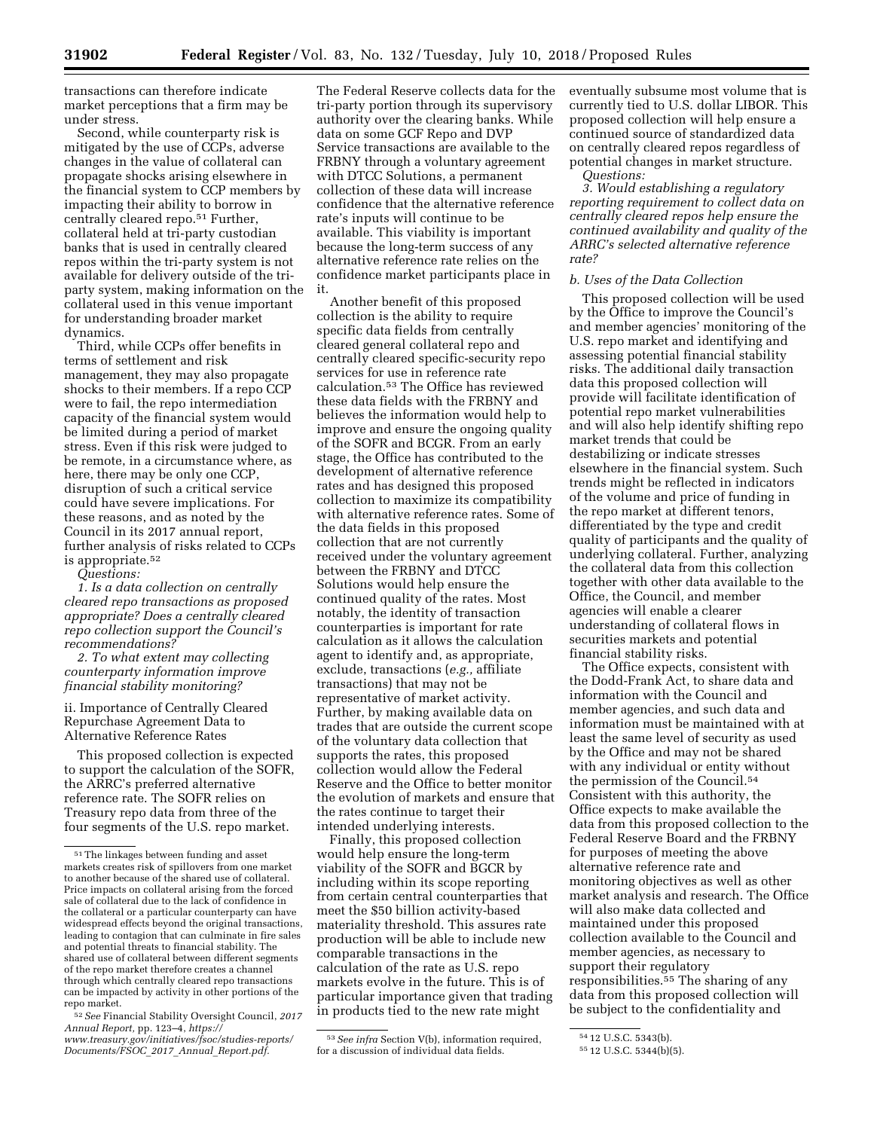transactions can therefore indicate market perceptions that a firm may be under stress.

Second, while counterparty risk is mitigated by the use of CCPs, adverse changes in the value of collateral can propagate shocks arising elsewhere in the financial system to CCP members by impacting their ability to borrow in centrally cleared repo.51 Further, collateral held at tri-party custodian banks that is used in centrally cleared repos within the tri-party system is not available for delivery outside of the triparty system, making information on the collateral used in this venue important for understanding broader market dynamics.

Third, while CCPs offer benefits in terms of settlement and risk management, they may also propagate shocks to their members. If a repo CCP were to fail, the repo intermediation capacity of the financial system would be limited during a period of market stress. Even if this risk were judged to be remote, in a circumstance where, as here, there may be only one CCP, disruption of such a critical service could have severe implications. For these reasons, and as noted by the Council in its 2017 annual report, further analysis of risks related to CCPs is appropriate.52

*Questions:* 

*1. Is a data collection on centrally cleared repo transactions as proposed appropriate? Does a centrally cleared repo collection support the Council's recommendations?* 

*2. To what extent may collecting counterparty information improve financial stability monitoring?* 

ii. Importance of Centrally Cleared Repurchase Agreement Data to Alternative Reference Rates

This proposed collection is expected to support the calculation of the SOFR, the ARRC's preferred alternative reference rate. The SOFR relies on Treasury repo data from three of the four segments of the U.S. repo market.

The Federal Reserve collects data for the tri-party portion through its supervisory authority over the clearing banks. While data on some GCF Repo and DVP Service transactions are available to the FRBNY through a voluntary agreement with DTCC Solutions, a permanent collection of these data will increase confidence that the alternative reference rate's inputs will continue to be available. This viability is important because the long-term success of any alternative reference rate relies on the confidence market participants place in it.

Another benefit of this proposed collection is the ability to require specific data fields from centrally cleared general collateral repo and centrally cleared specific-security repo services for use in reference rate calculation.53 The Office has reviewed these data fields with the FRBNY and believes the information would help to improve and ensure the ongoing quality of the SOFR and BCGR. From an early stage, the Office has contributed to the development of alternative reference rates and has designed this proposed collection to maximize its compatibility with alternative reference rates. Some of the data fields in this proposed collection that are not currently received under the voluntary agreement between the FRBNY and DTCC Solutions would help ensure the continued quality of the rates. Most notably, the identity of transaction counterparties is important for rate calculation as it allows the calculation agent to identify and, as appropriate, exclude, transactions (*e.g.,* affiliate transactions) that may not be representative of market activity. Further, by making available data on trades that are outside the current scope of the voluntary data collection that supports the rates, this proposed collection would allow the Federal Reserve and the Office to better monitor the evolution of markets and ensure that the rates continue to target their intended underlying interests.

Finally, this proposed collection would help ensure the long-term viability of the SOFR and BGCR by including within its scope reporting from certain central counterparties that meet the \$50 billion activity-based materiality threshold. This assures rate production will be able to include new comparable transactions in the calculation of the rate as U.S. repo markets evolve in the future. This is of particular importance given that trading in products tied to the new rate might

53*See infra* Section V(b), information required, for a discussion of individual data fields.

eventually subsume most volume that is currently tied to U.S. dollar LIBOR. This proposed collection will help ensure a continued source of standardized data on centrally cleared repos regardless of potential changes in market structure. *Questions:* 

*3. Would establishing a regulatory reporting requirement to collect data on centrally cleared repos help ensure the continued availability and quality of the ARRC's selected alternative reference rate?* 

### *b. Uses of the Data Collection*

This proposed collection will be used by the Office to improve the Council's and member agencies' monitoring of the U.S. repo market and identifying and assessing potential financial stability risks. The additional daily transaction data this proposed collection will provide will facilitate identification of potential repo market vulnerabilities and will also help identify shifting repo market trends that could be destabilizing or indicate stresses elsewhere in the financial system. Such trends might be reflected in indicators of the volume and price of funding in the repo market at different tenors, differentiated by the type and credit quality of participants and the quality of underlying collateral. Further, analyzing the collateral data from this collection together with other data available to the Office, the Council, and member agencies will enable a clearer understanding of collateral flows in securities markets and potential financial stability risks.

The Office expects, consistent with the Dodd-Frank Act, to share data and information with the Council and member agencies, and such data and information must be maintained with at least the same level of security as used by the Office and may not be shared with any individual or entity without the permission of the Council.54 Consistent with this authority, the Office expects to make available the data from this proposed collection to the Federal Reserve Board and the FRBNY for purposes of meeting the above alternative reference rate and monitoring objectives as well as other market analysis and research. The Office will also make data collected and maintained under this proposed collection available to the Council and member agencies, as necessary to support their regulatory responsibilities.55 The sharing of any data from this proposed collection will be subject to the confidentiality and

<sup>51</sup>The linkages between funding and asset markets creates risk of spillovers from one market to another because of the shared use of collateral. Price impacts on collateral arising from the forced sale of collateral due to the lack of confidence in the collateral or a particular counterparty can have widespread effects beyond the original transactions, leading to contagion that can culminate in fire sales and potential threats to financial stability. The shared use of collateral between different segments of the repo market therefore creates a channel through which centrally cleared repo transactions can be impacted by activity in other portions of the repo market.

<sup>52</sup>*See* Financial Stability Oversight Council, *2017 Annual Report,* pp. 123–4, *[https://](https://www.treasury.gov/initiatives/fsoc/studies-reports/Documents/FSOC_2017_Annual_Report.pdf) [www.treasury.gov/initiatives/fsoc/studies-reports/](https://www.treasury.gov/initiatives/fsoc/studies-reports/Documents/FSOC_2017_Annual_Report.pdf) [Documents/FSOC](https://www.treasury.gov/initiatives/fsoc/studies-reports/Documents/FSOC_2017_Annual_Report.pdf)*\_*2017*\_*Annual*\_*Report.pdf.* 

<sup>54</sup> 12 U.S.C. 5343(b).

<sup>55</sup> 12 U.S.C. 5344(b)(5).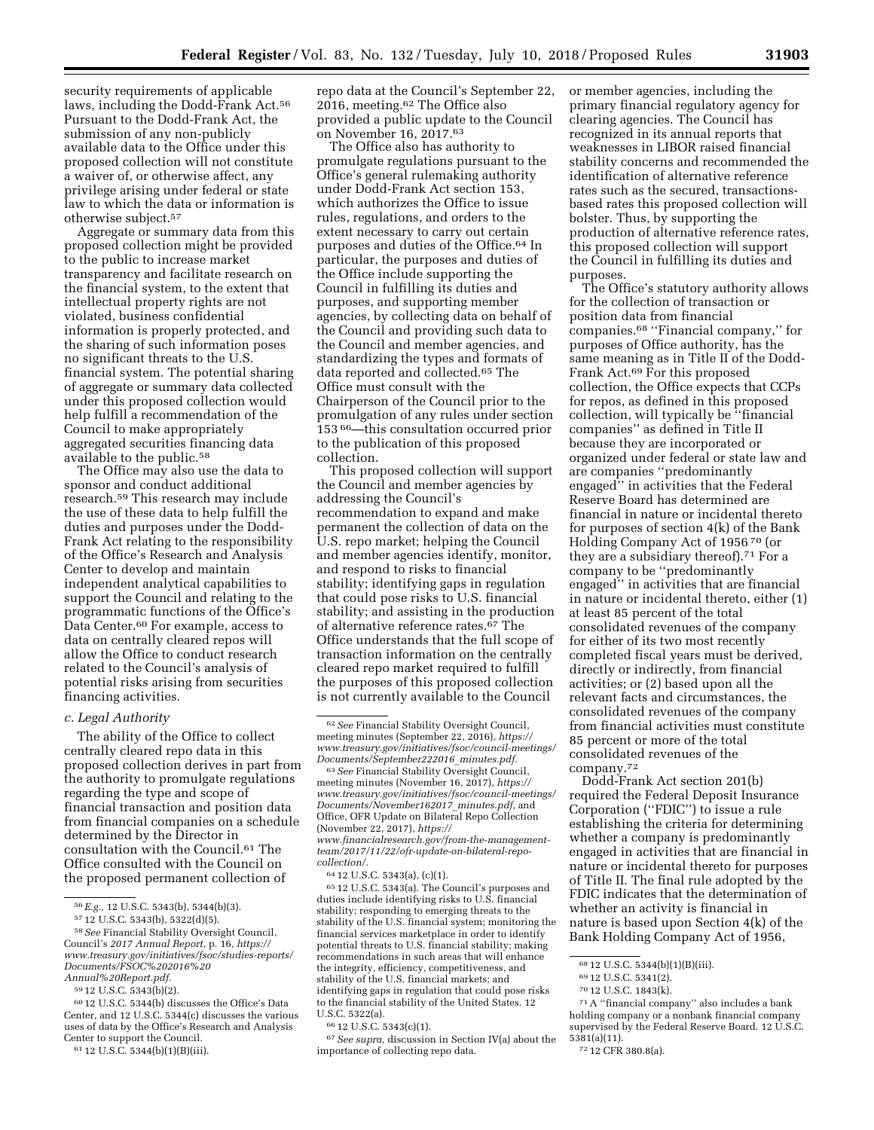security requirements of applicable laws, including the Dodd-Frank Act.56 Pursuant to the Dodd-Frank Act, the submission of any non-publicly available data to the Office under this proposed collection will not constitute a waiver of, or otherwise affect, any privilege arising under federal or state law to which the data or information is otherwise subject.57

Aggregate or summary data from this proposed collection might be provided to the public to increase market transparency and facilitate research on the financial system, to the extent that intellectual property rights are not violated, business confidential information is properly protected, and the sharing of such information poses no significant threats to the U.S. financial system. The potential sharing of aggregate or summary data collected under this proposed collection would help fulfill a recommendation of the Council to make appropriately aggregated securities financing data available to the public.58

The Office may also use the data to sponsor and conduct additional research.59 This research may include the use of these data to help fulfill the duties and purposes under the Dodd-Frank Act relating to the responsibility of the Office's Research and Analysis Center to develop and maintain independent analytical capabilities to support the Council and relating to the programmatic functions of the Office's Data Center.60 For example, access to data on centrally cleared repos will allow the Office to conduct research related to the Council's analysis of potential risks arising from securities financing activities.

#### *c. Legal Authority*

The ability of the Office to collect centrally cleared repo data in this proposed collection derives in part from the authority to promulgate regulations regarding the type and scope of financial transaction and position data from financial companies on a schedule determined by the Director in consultation with the Council.61 The Office consulted with the Council on the proposed permanent collection of

59 12 U.S.C. 5343(b)(2).

repo data at the Council's September 22, 2016, meeting.62 The Office also provided a public update to the Council on November 16, 2017.63

The Office also has authority to promulgate regulations pursuant to the Office's general rulemaking authority under Dodd-Frank Act section 153, which authorizes the Office to issue rules, regulations, and orders to the extent necessary to carry out certain purposes and duties of the Office.64 In particular, the purposes and duties of the Office include supporting the Council in fulfilling its duties and purposes, and supporting member agencies, by collecting data on behalf of the Council and providing such data to the Council and member agencies, and standardizing the types and formats of data reported and collected.65 The Office must consult with the Chairperson of the Council prior to the promulgation of any rules under section 153 66—this consultation occurred prior to the publication of this proposed collection.

This proposed collection will support the Council and member agencies by addressing the Council's recommendation to expand and make permanent the collection of data on the U.S. repo market; helping the Council and member agencies identify, monitor, and respond to risks to financial stability; identifying gaps in regulation that could pose risks to U.S. financial stability; and assisting in the production of alternative reference rates.67 The Office understands that the full scope of transaction information on the centrally cleared repo market required to fulfill the purposes of this proposed collection is not currently available to the Council

*[collection/.](https://www.financialresearch.gov/from-the-management-team/2017/11/22/ofr-update-on-bilateral-repo-collection/)* 

64 12 U.S.C. 5343(a), (c)(1).

65 12 U.S.C. 5343(a). The Council's purposes and duties include identifying risks to U.S. financial stability; responding to emerging threats to the stability of the U.S. financial system; monitoring the financial services marketplace in order to identify potential threats to U.S. financial stability; making recommendations in such areas that will enhance the integrity, efficiency, competitiveness, and stability of the U.S. financial markets; and identifying gaps in regulation that could pose risks to the financial stability of the United States. 12 U.S.C. 5322(a).

66 12 U.S.C. 5343(c)(1).

67*See supra,* discussion in Section IV(a) about the importance of collecting repo data.

or member agencies, including the primary financial regulatory agency for clearing agencies. The Council has recognized in its annual reports that weaknesses in LIBOR raised financial stability concerns and recommended the identification of alternative reference rates such as the secured, transactionsbased rates this proposed collection will bolster. Thus, by supporting the production of alternative reference rates, this proposed collection will support the Council in fulfilling its duties and purposes.

The Office's statutory authority allows for the collection of transaction or position data from financial companies.68 ''Financial company,'' for purposes of Office authority, has the same meaning as in Title II of the Dodd-Frank Act.69 For this proposed collection, the Office expects that CCPs for repos, as defined in this proposed collection, will typically be ''financial companies'' as defined in Title II because they are incorporated or organized under federal or state law and are companies ''predominantly engaged'' in activities that the Federal Reserve Board has determined are financial in nature or incidental thereto for purposes of section 4(k) of the Bank Holding Company Act of 1956 70 (or they are a subsidiary thereof).71 For a company to be ''predominantly engaged'' in activities that are financial in nature or incidental thereto, either (1) at least 85 percent of the total consolidated revenues of the company for either of its two most recently completed fiscal years must be derived, directly or indirectly, from financial activities; or (2) based upon all the relevant facts and circumstances, the consolidated revenues of the company from financial activities must constitute 85 percent or more of the total consolidated revenues of the company.72

Dodd-Frank Act section 201(b) required the Federal Deposit Insurance Corporation (''FDIC'') to issue a rule establishing the criteria for determining whether a company is predominantly engaged in activities that are financial in nature or incidental thereto for purposes of Title II. The final rule adopted by the FDIC indicates that the determination of whether an activity is financial in nature is based upon Section 4(k) of the Bank Holding Company Act of 1956,

71A ''financial company'' also includes a bank holding company or a nonbank financial company supervised by the Federal Reserve Board. 12 U.S.C. 5381(a)(11).

<sup>56</sup>*E.g.,* 12 U.S.C. 5343(b), 5344(b)(3).

<sup>57</sup> 12 U.S.C. 5343(b), 5322(d)(5).

<sup>58</sup>*See* Financial Stability Oversight Council, Council's *2017 Annual Report,* p. 16, *[https://](https://www.treasury.gov/initiatives/fsoc/studies-reports/Documents/FSOC%202016%20Annual%20Report.pdf) [www.treasury.gov/initiatives/fsoc/studies-reports/](https://www.treasury.gov/initiatives/fsoc/studies-reports/Documents/FSOC%202016%20Annual%20Report.pdf) [Documents/FSOC%202016%20](https://www.treasury.gov/initiatives/fsoc/studies-reports/Documents/FSOC%202016%20Annual%20Report.pdf) [Annual%20Report.pdf.](https://www.treasury.gov/initiatives/fsoc/studies-reports/Documents/FSOC%202016%20Annual%20Report.pdf)* 

<sup>60</sup> 12 U.S.C. 5344(b) discusses the Office's Data Center, and 12 U.S.C. 5344(c) discusses the various uses of data by the Office's Research and Analysis Center to support the Council.

<sup>61</sup> 12 U.S.C. 5344(b)(1)(B)(iii).

<sup>62</sup>*See* Financial Stability Oversight Council, meeting minutes (September 22, 2016), *[https://](https://www.treasury.gov/initiatives/fsoc/council-meetings/Documents/September222016_minutes.pdf) [www.treasury.gov/initiatives/fsoc/council-meetings/](https://www.treasury.gov/initiatives/fsoc/council-meetings/Documents/September222016_minutes.pdf) [Documents/September222016](https://www.treasury.gov/initiatives/fsoc/council-meetings/Documents/September222016_minutes.pdf)*\_*minutes.pdf.* 

<sup>63</sup>*See* Financial Stability Oversight Council, meeting minutes (November 16, 2017), *[https://](https://www.treasury.gov/initiatives/fsoc/council-meetings/Documents/November162017_minutes.pdf) [www.treasury.gov/initiatives/fsoc/council-meetings/](https://www.treasury.gov/initiatives/fsoc/council-meetings/Documents/November162017_minutes.pdf) [Documents/November162017](https://www.treasury.gov/initiatives/fsoc/council-meetings/Documents/November162017_minutes.pdf)*\_*minutes.pdf,* and Office, OFR Update on Bilateral Repo Collection (November 22, 2017), *[https://](https://www.financialresearch.gov/from-the-management-team/2017/11/22/ofr-update-on-bilateral-repo-collection/) [www.financialresearch.gov/from-the-management](https://www.financialresearch.gov/from-the-management-team/2017/11/22/ofr-update-on-bilateral-repo-collection/)[team/2017/11/22/ofr-update-on-bilateral-repo-](https://www.financialresearch.gov/from-the-management-team/2017/11/22/ofr-update-on-bilateral-repo-collection/)*

<sup>68</sup> 12 U.S.C. 5344(b)(1)(B)(iii).

<sup>69</sup> 12 U.S.C. 5341(2).

<sup>70</sup> 12 U.S.C. 1843(k).

<sup>72</sup> 12 CFR 380.8(a).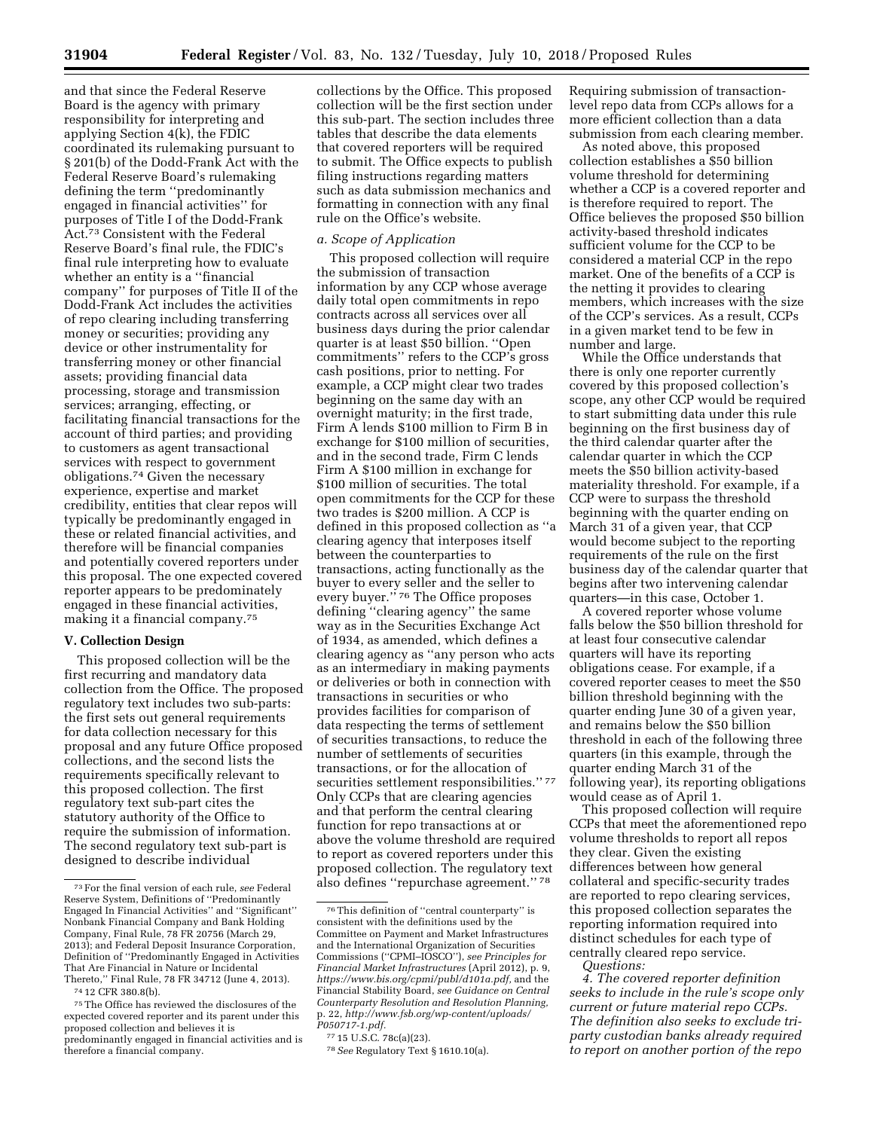and that since the Federal Reserve Board is the agency with primary responsibility for interpreting and applying Section 4(k), the FDIC coordinated its rulemaking pursuant to § 201(b) of the Dodd-Frank Act with the Federal Reserve Board's rulemaking defining the term ''predominantly engaged in financial activities'' for purposes of Title I of the Dodd-Frank Act.73 Consistent with the Federal Reserve Board's final rule, the FDIC's final rule interpreting how to evaluate whether an entity is a ''financial company'' for purposes of Title II of the Dodd-Frank Act includes the activities of repo clearing including transferring money or securities; providing any device or other instrumentality for transferring money or other financial assets; providing financial data processing, storage and transmission services; arranging, effecting, or facilitating financial transactions for the account of third parties; and providing to customers as agent transactional services with respect to government obligations.74 Given the necessary experience, expertise and market credibility, entities that clear repos will typically be predominantly engaged in these or related financial activities, and therefore will be financial companies and potentially covered reporters under this proposal. The one expected covered reporter appears to be predominately engaged in these financial activities, making it a financial company.75

# **V. Collection Design**

This proposed collection will be the first recurring and mandatory data collection from the Office. The proposed regulatory text includes two sub-parts: the first sets out general requirements for data collection necessary for this proposal and any future Office proposed collections, and the second lists the requirements specifically relevant to this proposed collection. The first regulatory text sub-part cites the statutory authority of the Office to require the submission of information. The second regulatory text sub-part is designed to describe individual

74 12 CFR 380.8(b).

collections by the Office. This proposed collection will be the first section under this sub-part. The section includes three tables that describe the data elements that covered reporters will be required to submit. The Office expects to publish filing instructions regarding matters such as data submission mechanics and formatting in connection with any final rule on the Office's website.

#### *a. Scope of Application*

This proposed collection will require the submission of transaction information by any CCP whose average daily total open commitments in repo contracts across all services over all business days during the prior calendar quarter is at least \$50 billion. ''Open commitments'' refers to the CCP's gross cash positions, prior to netting. For example, a CCP might clear two trades beginning on the same day with an overnight maturity; in the first trade, Firm A lends \$100 million to Firm B in exchange for \$100 million of securities, and in the second trade, Firm C lends Firm A \$100 million in exchange for \$100 million of securities. The total open commitments for the CCP for these two trades is \$200 million. A CCP is defined in this proposed collection as ''a clearing agency that interposes itself between the counterparties to transactions, acting functionally as the buyer to every seller and the seller to every buyer."<sup>76</sup> The Office proposes defining ''clearing agency'' the same way as in the Securities Exchange Act of 1934, as amended, which defines a clearing agency as ''any person who acts as an intermediary in making payments or deliveries or both in connection with transactions in securities or who provides facilities for comparison of data respecting the terms of settlement of securities transactions, to reduce the number of settlements of securities transactions, or for the allocation of securities settlement responsibilities." 77 Only CCPs that are clearing agencies and that perform the central clearing function for repo transactions at or above the volume threshold are required to report as covered reporters under this proposed collection. The regulatory text also defines ''repurchase agreement.'' 78

Requiring submission of transactionlevel repo data from CCPs allows for a more efficient collection than a data submission from each clearing member.

As noted above, this proposed collection establishes a \$50 billion volume threshold for determining whether a CCP is a covered reporter and is therefore required to report. The Office believes the proposed \$50 billion activity-based threshold indicates sufficient volume for the CCP to be considered a material CCP in the repo market. One of the benefits of a CCP is the netting it provides to clearing members, which increases with the size of the CCP's services. As a result, CCPs in a given market tend to be few in number and large.

While the Office understands that there is only one reporter currently covered by this proposed collection's scope, any other CCP would be required to start submitting data under this rule beginning on the first business day of the third calendar quarter after the calendar quarter in which the CCP meets the \$50 billion activity-based materiality threshold. For example, if a CCP were to surpass the threshold beginning with the quarter ending on March 31 of a given year, that CCP would become subject to the reporting requirements of the rule on the first business day of the calendar quarter that begins after two intervening calendar quarters—in this case, October 1.

A covered reporter whose volume falls below the \$50 billion threshold for at least four consecutive calendar quarters will have its reporting obligations cease. For example, if a covered reporter ceases to meet the \$50 billion threshold beginning with the quarter ending June 30 of a given year, and remains below the \$50 billion threshold in each of the following three quarters (in this example, through the quarter ending March 31 of the following year), its reporting obligations would cease as of April 1.

This proposed collection will require CCPs that meet the aforementioned repo volume thresholds to report all repos they clear. Given the existing differences between how general collateral and specific-security trades are reported to repo clearing services, this proposed collection separates the reporting information required into distinct schedules for each type of centrally cleared repo service.

*4. The covered reporter definition seeks to include in the rule's scope only current or future material repo CCPs. The definition also seeks to exclude triparty custodian banks already required to report on another portion of the repo* 

<sup>73</sup>For the final version of each rule, *see* Federal Reserve System, Definitions of ''Predominantly Engaged In Financial Activities'' and ''Significant'' Nonbank Financial Company and Bank Holding Company, Final Rule, 78 FR 20756 (March 29, 2013); and Federal Deposit Insurance Corporation, Definition of ''Predominantly Engaged in Activities That Are Financial in Nature or Incidental Thereto,'' Final Rule, 78 FR 34712 (June 4, 2013).

<sup>75</sup>The Office has reviewed the disclosures of the expected covered reporter and its parent under this proposed collection and believes it is predominantly engaged in financial activities and is therefore a financial company.

<sup>76</sup>This definition of ''central counterparty'' is consistent with the definitions used by the Committee on Payment and Market Infrastructures and the International Organization of Securities Commissions (''CPMI–IOSCO''), *see Principles for Financial Market Infrastructures* (April 2012), p. 9, *[https://www.bis.org/cpmi/publ/d101a.pdf,](https://www.bis.org/cpmi/publ/d101a.pdf)* and the Financial Stability Board, *see Guidance on Central Counterparty Resolution and Resolution Planning,*  p. 22, *[http://www.fsb.org/wp-content/uploads/](http://www.fsb.org/wp-content/uploads/P050717-1.pdf)  [P050717-1.pdf.](http://www.fsb.org/wp-content/uploads/P050717-1.pdf)* 

<sup>77</sup> 15 U.S.C. 78c(a)(23).

<sup>78</sup>*See* Regulatory Text § 1610.10(a).

*Questions:*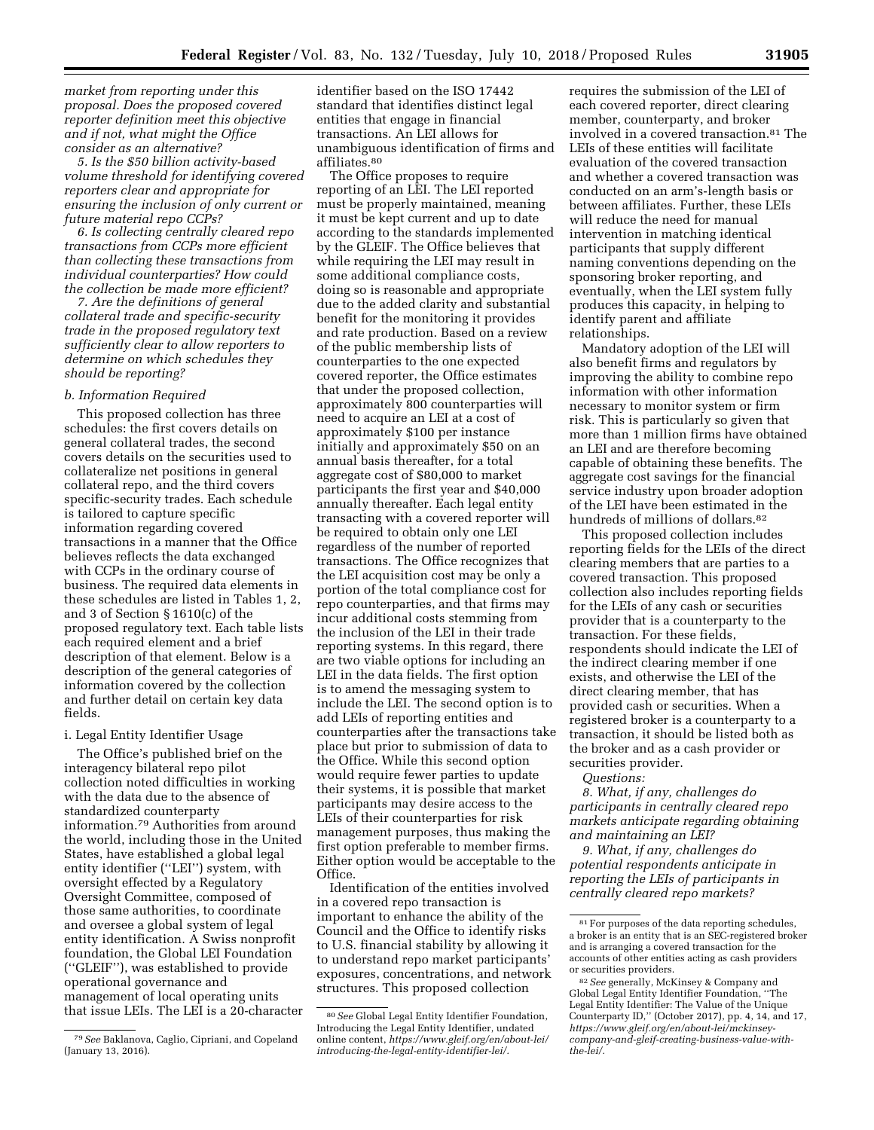*market from reporting under this proposal. Does the proposed covered reporter definition meet this objective and if not, what might the Office consider as an alternative?* 

*5. Is the \$50 billion activity-based volume threshold for identifying covered reporters clear and appropriate for ensuring the inclusion of only current or future material repo CCPs?* 

*6. Is collecting centrally cleared repo transactions from CCPs more efficient than collecting these transactions from individual counterparties? How could the collection be made more efficient?* 

*7. Are the definitions of general collateral trade and specific-security trade in the proposed regulatory text sufficiently clear to allow reporters to determine on which schedules they should be reporting?* 

#### *b. Information Required*

This proposed collection has three schedules: the first covers details on general collateral trades, the second covers details on the securities used to collateralize net positions in general collateral repo, and the third covers specific-security trades. Each schedule is tailored to capture specific information regarding covered transactions in a manner that the Office believes reflects the data exchanged with CCPs in the ordinary course of business. The required data elements in these schedules are listed in Tables 1, 2, and 3 of Section § 1610(c) of the proposed regulatory text. Each table lists each required element and a brief description of that element. Below is a description of the general categories of information covered by the collection and further detail on certain key data fields.

#### i. Legal Entity Identifier Usage

The Office's published brief on the interagency bilateral repo pilot collection noted difficulties in working with the data due to the absence of standardized counterparty information.79 Authorities from around the world, including those in the United States, have established a global legal entity identifier (''LEI'') system, with oversight effected by a Regulatory Oversight Committee, composed of those same authorities, to coordinate and oversee a global system of legal entity identification. A Swiss nonprofit foundation, the Global LEI Foundation (''GLEIF''), was established to provide operational governance and management of local operating units that issue LEIs. The LEI is a 20-character

79*See* Baklanova, Caglio, Cipriani, and Copeland (January 13, 2016).

identifier based on the ISO 17442 standard that identifies distinct legal entities that engage in financial transactions. An LEI allows for unambiguous identification of firms and affiliates.80

The Office proposes to require reporting of an LEI. The LEI reported must be properly maintained, meaning it must be kept current and up to date according to the standards implemented by the GLEIF. The Office believes that while requiring the LEI may result in some additional compliance costs, doing so is reasonable and appropriate due to the added clarity and substantial benefit for the monitoring it provides and rate production. Based on a review of the public membership lists of counterparties to the one expected covered reporter, the Office estimates that under the proposed collection, approximately 800 counterparties will need to acquire an LEI at a cost of approximately \$100 per instance initially and approximately \$50 on an annual basis thereafter, for a total aggregate cost of \$80,000 to market participants the first year and \$40,000 annually thereafter. Each legal entity transacting with a covered reporter will be required to obtain only one LEI regardless of the number of reported transactions. The Office recognizes that the LEI acquisition cost may be only a portion of the total compliance cost for repo counterparties, and that firms may incur additional costs stemming from the inclusion of the LEI in their trade reporting systems. In this regard, there are two viable options for including an LEI in the data fields. The first option is to amend the messaging system to include the LEI. The second option is to add LEIs of reporting entities and counterparties after the transactions take place but prior to submission of data to the Office. While this second option would require fewer parties to update their systems, it is possible that market participants may desire access to the LEIs of their counterparties for risk management purposes, thus making the first option preferable to member firms. Either option would be acceptable to the Office.

Identification of the entities involved in a covered repo transaction is important to enhance the ability of the Council and the Office to identify risks to U.S. financial stability by allowing it to understand repo market participants' exposures, concentrations, and network structures. This proposed collection

requires the submission of the LEI of each covered reporter, direct clearing member, counterparty, and broker involved in a covered transaction.81 The LEIs of these entities will facilitate evaluation of the covered transaction and whether a covered transaction was conducted on an arm's-length basis or between affiliates. Further, these LEIs will reduce the need for manual intervention in matching identical participants that supply different naming conventions depending on the sponsoring broker reporting, and eventually, when the LEI system fully produces this capacity, in helping to identify parent and affiliate relationships.

Mandatory adoption of the LEI will also benefit firms and regulators by improving the ability to combine repo information with other information necessary to monitor system or firm risk. This is particularly so given that more than 1 million firms have obtained an LEI and are therefore becoming capable of obtaining these benefits. The aggregate cost savings for the financial service industry upon broader adoption of the LEI have been estimated in the hundreds of millions of dollars.<sup>82</sup>

This proposed collection includes reporting fields for the LEIs of the direct clearing members that are parties to a covered transaction. This proposed collection also includes reporting fields for the LEIs of any cash or securities provider that is a counterparty to the transaction. For these fields, respondents should indicate the LEI of the indirect clearing member if one exists, and otherwise the LEI of the direct clearing member, that has provided cash or securities. When a registered broker is a counterparty to a transaction, it should be listed both as the broker and as a cash provider or securities provider.

*Questions:* 

*8. What, if any, challenges do participants in centrally cleared repo markets anticipate regarding obtaining and maintaining an LEI?* 

*9. What, if any, challenges do potential respondents anticipate in reporting the LEIs of participants in centrally cleared repo markets?* 

<sup>80</sup>*See* Global Legal Entity Identifier Foundation, Introducing the Legal Entity Identifier, undated online content, *[https://www.gleif.org/en/about-lei/](https://www.gleif.org/en/about-lei/introducing-the-legal-entity-identifier-lei/) [introducing-the-legal-entity-identifier-lei/.](https://www.gleif.org/en/about-lei/introducing-the-legal-entity-identifier-lei/)* 

<sup>81</sup>For purposes of the data reporting schedules, a broker is an entity that is an SEC-registered broker and is arranging a covered transaction for the accounts of other entities acting as cash providers or securities providers.

<sup>82</sup>*See* generally, McKinsey & Company and Global Legal Entity Identifier Foundation, ''The Legal Entity Identifier: The Value of the Unique Counterparty ID,'' (October 2017), pp. 4, 14, and 17, *[https://www.gleif.org/en/about-lei/mckinsey](https://www.gleif.org/en/about-lei/mckinsey-company-and-gleif-creating-business-value-with-the-lei/)[company-and-gleif-creating-business-value-with](https://www.gleif.org/en/about-lei/mckinsey-company-and-gleif-creating-business-value-with-the-lei/)[the-lei/.](https://www.gleif.org/en/about-lei/mckinsey-company-and-gleif-creating-business-value-with-the-lei/)*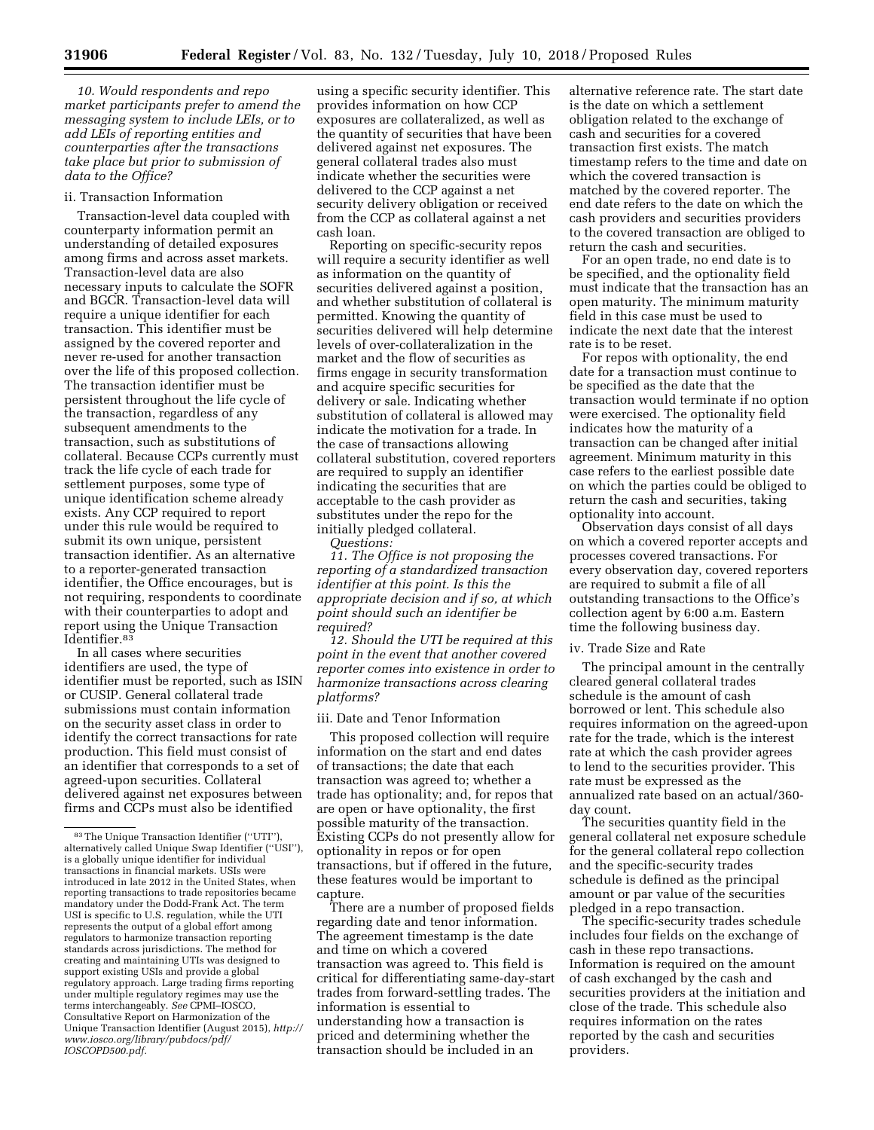*10. Would respondents and repo market participants prefer to amend the messaging system to include LEIs, or to add LEIs of reporting entities and counterparties after the transactions take place but prior to submission of data to the Office?* 

#### ii. Transaction Information

Transaction-level data coupled with counterparty information permit an understanding of detailed exposures among firms and across asset markets. Transaction-level data are also necessary inputs to calculate the SOFR and BGCR. Transaction-level data will require a unique identifier for each transaction. This identifier must be assigned by the covered reporter and never re-used for another transaction over the life of this proposed collection. The transaction identifier must be persistent throughout the life cycle of the transaction, regardless of any subsequent amendments to the transaction, such as substitutions of collateral. Because CCPs currently must track the life cycle of each trade for settlement purposes, some type of unique identification scheme already exists. Any CCP required to report under this rule would be required to submit its own unique, persistent transaction identifier. As an alternative to a reporter-generated transaction identifier, the Office encourages, but is not requiring, respondents to coordinate with their counterparties to adopt and report using the Unique Transaction Identifier.83

In all cases where securities identifiers are used, the type of identifier must be reported, such as ISIN or CUSIP. General collateral trade submissions must contain information on the security asset class in order to identify the correct transactions for rate production. This field must consist of an identifier that corresponds to a set of agreed-upon securities. Collateral delivered against net exposures between firms and CCPs must also be identified

using a specific security identifier. This provides information on how CCP exposures are collateralized, as well as the quantity of securities that have been delivered against net exposures. The general collateral trades also must indicate whether the securities were delivered to the CCP against a net security delivery obligation or received from the CCP as collateral against a net cash loan.

Reporting on specific-security repos will require a security identifier as well as information on the quantity of securities delivered against a position, and whether substitution of collateral is permitted. Knowing the quantity of securities delivered will help determine levels of over-collateralization in the market and the flow of securities as firms engage in security transformation and acquire specific securities for delivery or sale. Indicating whether substitution of collateral is allowed may indicate the motivation for a trade. In the case of transactions allowing collateral substitution, covered reporters are required to supply an identifier indicating the securities that are acceptable to the cash provider as substitutes under the repo for the initially pledged collateral. *Questions:* 

*11. The Office is not proposing the reporting of a standardized transaction identifier at this point. Is this the appropriate decision and if so, at which point should such an identifier be required?* 

*12. Should the UTI be required at this point in the event that another covered reporter comes into existence in order to harmonize transactions across clearing platforms?* 

#### iii. Date and Tenor Information

This proposed collection will require information on the start and end dates of transactions; the date that each transaction was agreed to; whether a trade has optionality; and, for repos that are open or have optionality, the first possible maturity of the transaction. Existing CCPs do not presently allow for optionality in repos or for open transactions, but if offered in the future, these features would be important to capture.

There are a number of proposed fields regarding date and tenor information. The agreement timestamp is the date and time on which a covered transaction was agreed to. This field is critical for differentiating same-day-start trades from forward-settling trades. The information is essential to understanding how a transaction is priced and determining whether the transaction should be included in an

alternative reference rate. The start date is the date on which a settlement obligation related to the exchange of cash and securities for a covered transaction first exists. The match timestamp refers to the time and date on which the covered transaction is matched by the covered reporter. The end date refers to the date on which the cash providers and securities providers to the covered transaction are obliged to return the cash and securities.

For an open trade, no end date is to be specified, and the optionality field must indicate that the transaction has an open maturity. The minimum maturity field in this case must be used to indicate the next date that the interest rate is to be reset.

For repos with optionality, the end date for a transaction must continue to be specified as the date that the transaction would terminate if no option were exercised. The optionality field indicates how the maturity of a transaction can be changed after initial agreement. Minimum maturity in this case refers to the earliest possible date on which the parties could be obliged to return the cash and securities, taking optionality into account.

Observation days consist of all days on which a covered reporter accepts and processes covered transactions. For every observation day, covered reporters are required to submit a file of all outstanding transactions to the Office's collection agent by 6:00 a.m. Eastern time the following business day.

#### iv. Trade Size and Rate

The principal amount in the centrally cleared general collateral trades schedule is the amount of cash borrowed or lent. This schedule also requires information on the agreed-upon rate for the trade, which is the interest rate at which the cash provider agrees to lend to the securities provider. This rate must be expressed as the annualized rate based on an actual/360 day count.

The securities quantity field in the general collateral net exposure schedule for the general collateral repo collection and the specific-security trades schedule is defined as the principal amount or par value of the securities pledged in a repo transaction.

The specific-security trades schedule includes four fields on the exchange of cash in these repo transactions. Information is required on the amount of cash exchanged by the cash and securities providers at the initiation and close of the trade. This schedule also requires information on the rates reported by the cash and securities providers.

<sup>83</sup>The Unique Transaction Identifier (''UTI''), alternatively called Unique Swap Identifier (''USI''), is a globally unique identifier for individual transactions in financial markets. USIs were introduced in late 2012 in the United States, when reporting transactions to trade repositories became mandatory under the Dodd-Frank Act. The term USI is specific to U.S. regulation, while the UTI represents the output of a global effort among regulators to harmonize transaction reporting standards across jurisdictions. The method for creating and maintaining UTIs was designed to support existing USIs and provide a global regulatory approach. Large trading firms reporting under multiple regulatory regimes may use the terms interchangeably. *See* CPMI–IOSCO, Consultative Report on Harmonization of the Unique Transaction Identifier (August 2015), *[http://](http://www.iosco.org/library/pubdocs/pdf/IOSCOPD500.pdf)  [www.iosco.org/library/pubdocs/pdf/](http://www.iosco.org/library/pubdocs/pdf/IOSCOPD500.pdf)  [IOSCOPD500.pdf.](http://www.iosco.org/library/pubdocs/pdf/IOSCOPD500.pdf)*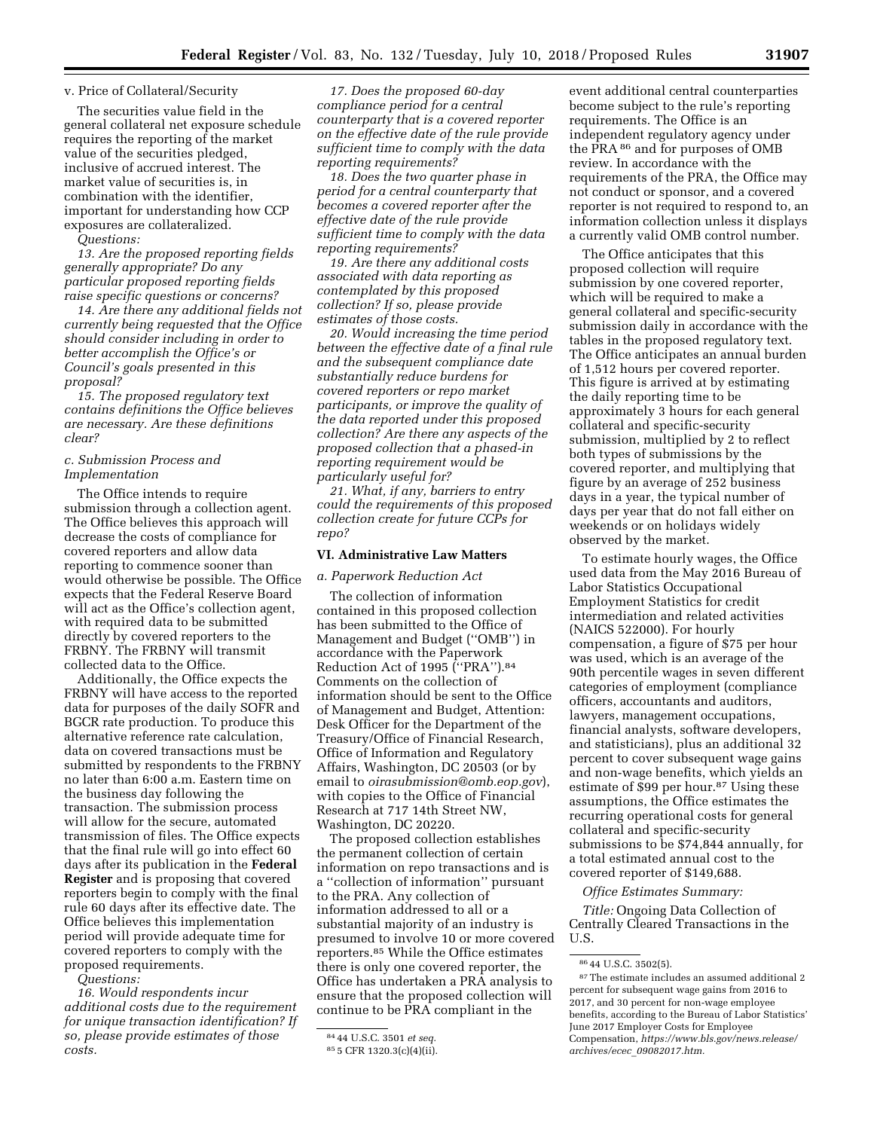#### v. Price of Collateral/Security

The securities value field in the general collateral net exposure schedule requires the reporting of the market value of the securities pledged, inclusive of accrued interest. The market value of securities is, in combination with the identifier, important for understanding how CCP exposures are collateralized.

*Questions:* 

*13. Are the proposed reporting fields generally appropriate? Do any particular proposed reporting fields raise specific questions or concerns?* 

*14. Are there any additional fields not currently being requested that the Office should consider including in order to better accomplish the Office's or Council's goals presented in this proposal?* 

*15. The proposed regulatory text contains definitions the Office believes are necessary. Are these definitions clear?* 

# *c. Submission Process and Implementation*

The Office intends to require submission through a collection agent. The Office believes this approach will decrease the costs of compliance for covered reporters and allow data reporting to commence sooner than would otherwise be possible. The Office expects that the Federal Reserve Board will act as the Office's collection agent, with required data to be submitted directly by covered reporters to the FRBNY. The FRBNY will transmit collected data to the Office.

Additionally, the Office expects the FRBNY will have access to the reported data for purposes of the daily SOFR and BGCR rate production. To produce this alternative reference rate calculation, data on covered transactions must be submitted by respondents to the FRBNY no later than 6:00 a.m. Eastern time on the business day following the transaction. The submission process will allow for the secure, automated transmission of files. The Office expects that the final rule will go into effect 60 days after its publication in the **Federal Register** and is proposing that covered reporters begin to comply with the final rule 60 days after its effective date. The Office believes this implementation period will provide adequate time for covered reporters to comply with the proposed requirements.

*Questions:* 

*16. Would respondents incur additional costs due to the requirement for unique transaction identification? If so, please provide estimates of those costs.* 

*17. Does the proposed 60-day compliance period for a central counterparty that is a covered reporter on the effective date of the rule provide sufficient time to comply with the data reporting requirements?* 

*18. Does the two quarter phase in period for a central counterparty that becomes a covered reporter after the effective date of the rule provide sufficient time to comply with the data reporting requirements?* 

*19. Are there any additional costs associated with data reporting as contemplated by this proposed collection? If so, please provide estimates of those costs.* 

*20. Would increasing the time period between the effective date of a final rule and the subsequent compliance date substantially reduce burdens for covered reporters or repo market participants, or improve the quality of the data reported under this proposed collection? Are there any aspects of the proposed collection that a phased-in reporting requirement would be particularly useful for?* 

*21. What, if any, barriers to entry could the requirements of this proposed collection create for future CCPs for repo?* 

# **VI. Administrative Law Matters**

# *a. Paperwork Reduction Act*

The collection of information contained in this proposed collection has been submitted to the Office of Management and Budget (''OMB'') in accordance with the Paperwork Reduction Act of 1995 (''PRA'').84 Comments on the collection of information should be sent to the Office of Management and Budget, Attention: Desk Officer for the Department of the Treasury/Office of Financial Research, Office of Information and Regulatory Affairs, Washington, DC 20503 (or by email to *[oirasubmission@omb.eop.gov](mailto:oirasubmission@omb.eop.gov)*), with copies to the Office of Financial Research at 717 14th Street NW, Washington, DC 20220.

The proposed collection establishes the permanent collection of certain information on repo transactions and is a ''collection of information'' pursuant to the PRA. Any collection of information addressed to all or a substantial majority of an industry is presumed to involve 10 or more covered reporters.85 While the Office estimates there is only one covered reporter, the Office has undertaken a PRA analysis to ensure that the proposed collection will continue to be PRA compliant in the

event additional central counterparties become subject to the rule's reporting requirements. The Office is an independent regulatory agency under the PRA 86 and for purposes of OMB review. In accordance with the requirements of the PRA, the Office may not conduct or sponsor, and a covered reporter is not required to respond to, an information collection unless it displays a currently valid OMB control number.

The Office anticipates that this proposed collection will require submission by one covered reporter, which will be required to make a general collateral and specific-security submission daily in accordance with the tables in the proposed regulatory text. The Office anticipates an annual burden of 1,512 hours per covered reporter. This figure is arrived at by estimating the daily reporting time to be approximately 3 hours for each general collateral and specific-security submission, multiplied by 2 to reflect both types of submissions by the covered reporter, and multiplying that figure by an average of 252 business days in a year, the typical number of days per year that do not fall either on weekends or on holidays widely observed by the market.

To estimate hourly wages, the Office used data from the May 2016 Bureau of Labor Statistics Occupational Employment Statistics for credit intermediation and related activities (NAICS 522000). For hourly compensation, a figure of \$75 per hour was used, which is an average of the 90th percentile wages in seven different categories of employment (compliance officers, accountants and auditors, lawyers, management occupations, financial analysts, software developers, and statisticians), plus an additional 32 percent to cover subsequent wage gains and non-wage benefits, which yields an estimate of \$99 per hour.87 Using these assumptions, the Office estimates the recurring operational costs for general collateral and specific-security submissions to be \$74,844 annually, for a total estimated annual cost to the covered reporter of \$149,688.

## *Office Estimates Summary:*

*Title:* Ongoing Data Collection of Centrally Cleared Transactions in the U.S.

<sup>84</sup> 44 U.S.C. 3501 *et seq.* 

<sup>85</sup> 5 CFR 1320.3(c)(4)(ii).

<sup>86</sup> 44 U.S.C. 3502(5).

 $^{\mathrm{87}}$  The estimate includes an assumed additional  $2$ percent for subsequent wage gains from 2016 to 2017, and 30 percent for non-wage employee benefits, according to the Bureau of Labor Statistics' June 2017 Employer Costs for Employee Compensation, *[https://www.bls.gov/news.release/](https://www.bls.gov/news.release/archives/ecec_09082017.htm)  archives/ecec*\_*[09082017.htm.](https://www.bls.gov/news.release/archives/ecec_09082017.htm)*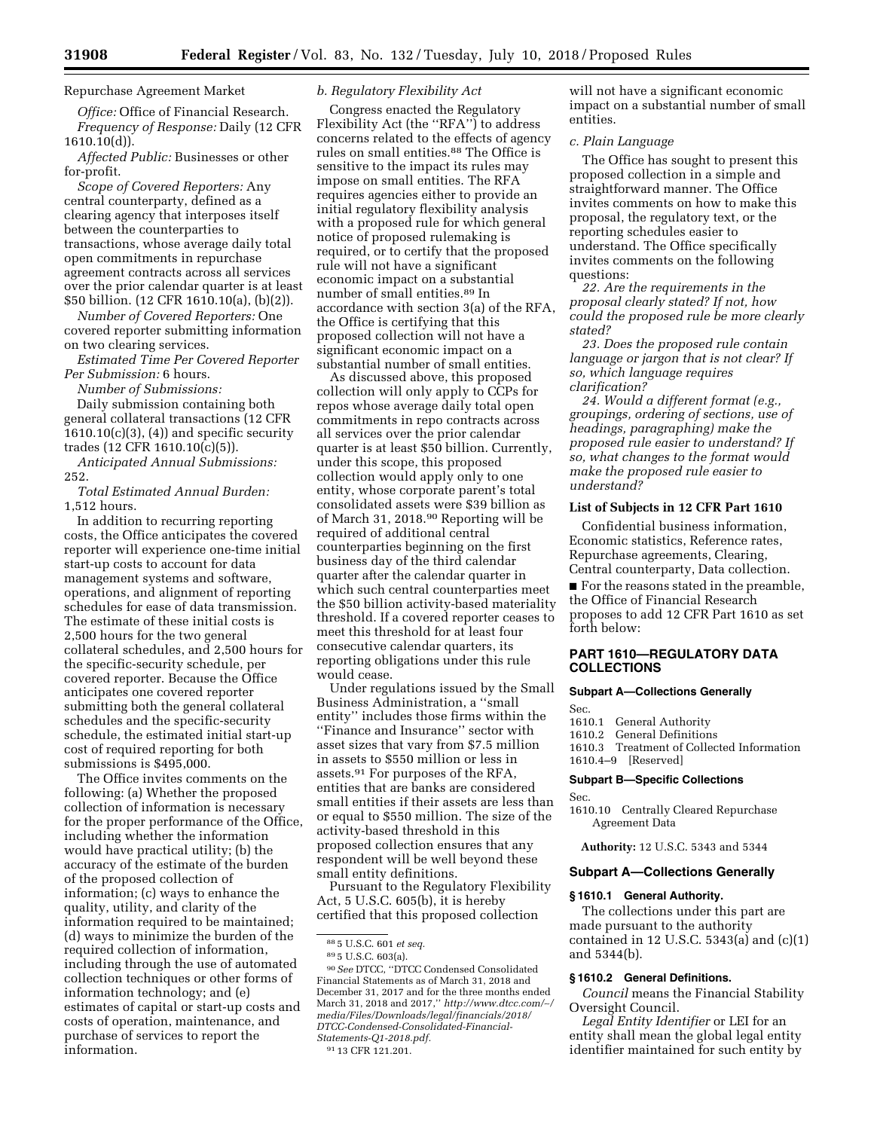Repurchase Agreement Market

*Office:* Office of Financial Research. *Frequency of Response:* Daily (12 CFR 1610.10(d)).

*Affected Public:* Businesses or other for-profit.

*Scope of Covered Reporters:* Any central counterparty, defined as a clearing agency that interposes itself between the counterparties to transactions, whose average daily total open commitments in repurchase agreement contracts across all services over the prior calendar quarter is at least \$50 billion. (12 CFR 1610.10(a), (b)(2)).

*Number of Covered Reporters:* One covered reporter submitting information on two clearing services.

*Estimated Time Per Covered Reporter Per Submission:* 6 hours.

*Number of Submissions:* 

Daily submission containing both general collateral transactions (12 CFR  $1610.10(c)(3)$ ,  $(4)$  and specific security trades (12 CFR 1610.10(c)(5)).

*Anticipated Annual Submissions:*  252.

*Total Estimated Annual Burden:*  1,512 hours.

In addition to recurring reporting costs, the Office anticipates the covered reporter will experience one-time initial start-up costs to account for data management systems and software, operations, and alignment of reporting schedules for ease of data transmission. The estimate of these initial costs is 2,500 hours for the two general collateral schedules, and 2,500 hours for the specific-security schedule, per covered reporter. Because the Office anticipates one covered reporter submitting both the general collateral schedules and the specific-security schedule, the estimated initial start-up cost of required reporting for both submissions is \$495,000.

The Office invites comments on the following: (a) Whether the proposed collection of information is necessary for the proper performance of the Office, including whether the information would have practical utility; (b) the accuracy of the estimate of the burden of the proposed collection of information; (c) ways to enhance the quality, utility, and clarity of the information required to be maintained; (d) ways to minimize the burden of the required collection of information, including through the use of automated collection techniques or other forms of information technology; and (e) estimates of capital or start-up costs and costs of operation, maintenance, and purchase of services to report the information.

### *b. Regulatory Flexibility Act*

Congress enacted the Regulatory Flexibility Act (the "RFA") to address concerns related to the effects of agency rules on small entities.<sup>88</sup> The Office is sensitive to the impact its rules may impose on small entities. The RFA requires agencies either to provide an initial regulatory flexibility analysis with a proposed rule for which general notice of proposed rulemaking is required, or to certify that the proposed rule will not have a significant economic impact on a substantial number of small entities.89 In accordance with section 3(a) of the RFA, the Office is certifying that this proposed collection will not have a significant economic impact on a substantial number of small entities.

As discussed above, this proposed collection will only apply to CCPs for repos whose average daily total open commitments in repo contracts across all services over the prior calendar quarter is at least \$50 billion. Currently, under this scope, this proposed collection would apply only to one entity, whose corporate parent's total consolidated assets were \$39 billion as of March 31, 2018.90 Reporting will be required of additional central counterparties beginning on the first business day of the third calendar quarter after the calendar quarter in which such central counterparties meet the \$50 billion activity-based materiality threshold. If a covered reporter ceases to meet this threshold for at least four consecutive calendar quarters, its reporting obligations under this rule would cease.

Under regulations issued by the Small Business Administration, a ''small entity'' includes those firms within the ''Finance and Insurance'' sector with asset sizes that vary from \$7.5 million in assets to \$550 million or less in assets.91 For purposes of the RFA, entities that are banks are considered small entities if their assets are less than or equal to \$550 million. The size of the activity-based threshold in this proposed collection ensures that any respondent will be well beyond these small entity definitions.

Pursuant to the Regulatory Flexibility Act, 5 U.S.C. 605(b), it is hereby certified that this proposed collection

90*See* DTCC, ''DTCC Condensed Consolidated Financial Statements as of March 31, 2018 and December 31, 2017 and for the three months ended March 31, 2018 and 2017,'' *[http://www.dtcc.com/](http://www.dtcc.com/~/media/Files/Downloads/legal/financials/2018/DTCC-Condensed-Consolidated-Financial-Statements-Q1-2018.pdf)*∼*/ [media/Files/Downloads/legal/financials/2018/](http://www.dtcc.com/~/media/Files/Downloads/legal/financials/2018/DTCC-Condensed-Consolidated-Financial-Statements-Q1-2018.pdf) [DTCC-Condensed-Consolidated-Financial-](http://www.dtcc.com/~/media/Files/Downloads/legal/financials/2018/DTCC-Condensed-Consolidated-Financial-Statements-Q1-2018.pdf)[Statements-Q1-2018.pdf.](http://www.dtcc.com/~/media/Files/Downloads/legal/financials/2018/DTCC-Condensed-Consolidated-Financial-Statements-Q1-2018.pdf)* 

91 13 CFR 121.201.

will not have a significant economic impact on a substantial number of small entities.

# *c. Plain Language*

The Office has sought to present this proposed collection in a simple and straightforward manner. The Office invites comments on how to make this proposal, the regulatory text, or the reporting schedules easier to understand. The Office specifically invites comments on the following questions:

*22. Are the requirements in the proposal clearly stated? If not, how could the proposed rule be more clearly stated?* 

*23. Does the proposed rule contain language or jargon that is not clear? If so, which language requires clarification?* 

*24. Would a different format (e.g., groupings, ordering of sections, use of headings, paragraphing) make the proposed rule easier to understand? If so, what changes to the format would make the proposed rule easier to understand?* 

# **List of Subjects in 12 CFR Part 1610**

Confidential business information, Economic statistics, Reference rates, Repurchase agreements, Clearing, Central counterparty, Data collection.

■ For the reasons stated in the preamble, the Office of Financial Research proposes to add 12 CFR Part 1610 as set forth below:

# **PART 1610—REGULATORY DATA COLLECTIONS**

#### **Subpart A—Collections Generally**

Sec.

- 1610.1 General Authority
- 1610.2 General Definitions

1610.3 Treatment of Collected Information 1610.4–9 [Reserved]

#### **Subpart B—Specific Collections**

Sec.

1610.10 Centrally Cleared Repurchase Agreement Data

**Authority:** 12 U.S.C. 5343 and 5344

#### **Subpart A—Collections Generally**

# **§ 1610.1 General Authority.**

The collections under this part are made pursuant to the authority contained in 12 U.S.C. 5343(a) and (c)(1) and 5344(b).

#### **§ 1610.2 General Definitions.**

*Council* means the Financial Stability Oversight Council.

*Legal Entity Identifier* or LEI for an entity shall mean the global legal entity identifier maintained for such entity by

<sup>88</sup> 5 U.S.C. 601 *et seq.* 

<sup>89</sup> 5 U.S.C. 603(a).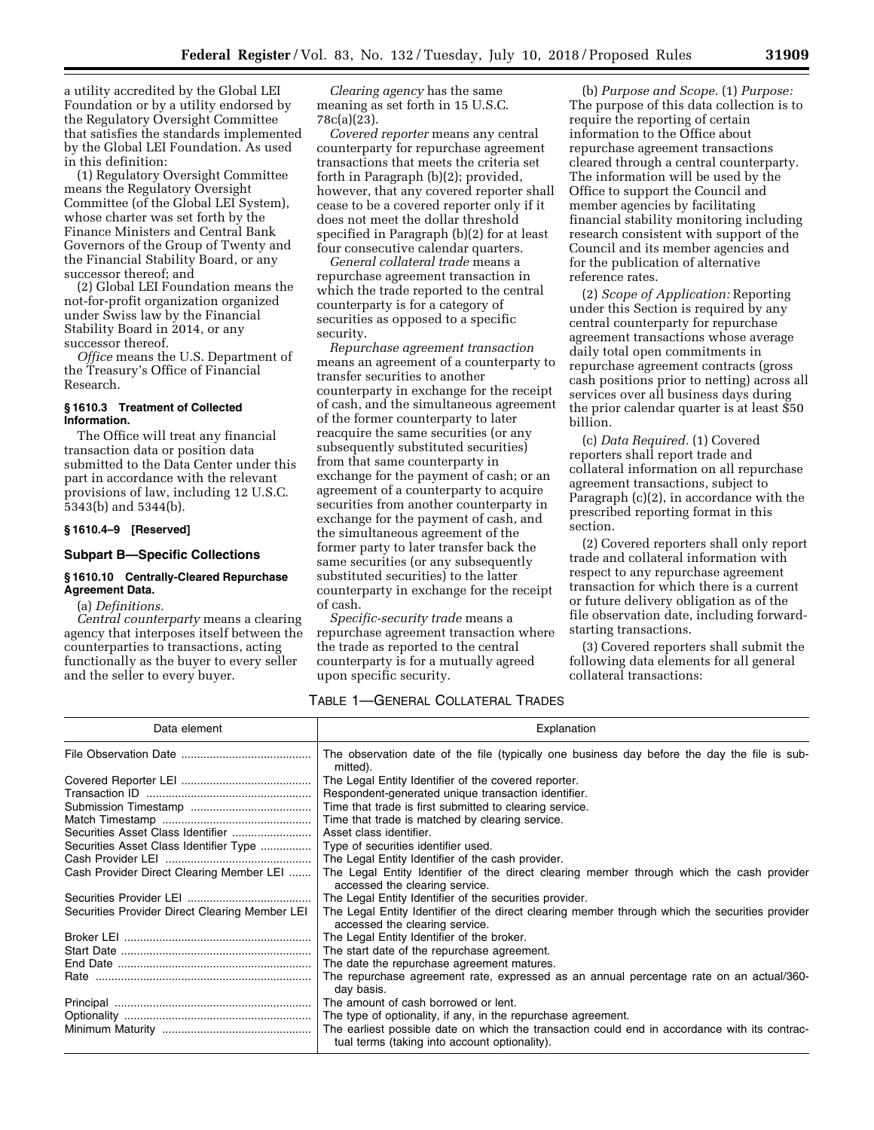a utility accredited by the Global LEI Foundation or by a utility endorsed by the Regulatory Oversight Committee that satisfies the standards implemented by the Global LEI Foundation. As used in this definition:

(1) Regulatory Oversight Committee means the Regulatory Oversight Committee (of the Global LEI System), whose charter was set forth by the Finance Ministers and Central Bank Governors of the Group of Twenty and the Financial Stability Board, or any successor thereof; and

(2) Global LEI Foundation means the not-for-profit organization organized under Swiss law by the Financial Stability Board in 2014, or any successor thereof.

*Office* means the U.S. Department of the Treasury's Office of Financial Research.

# **§ 1610.3 Treatment of Collected Information.**

The Office will treat any financial transaction data or position data submitted to the Data Center under this part in accordance with the relevant provisions of law, including 12 U.S.C. 5343(b) and 5344(b).

#### **§ 1610.4–9 [Reserved]**

#### **Subpart B—Specific Collections**

# **§ 1610.10 Centrally-Cleared Repurchase Agreement Data.**

(a) *Definitions.* 

*Central counterparty* means a clearing agency that interposes itself between the counterparties to transactions, acting functionally as the buyer to every seller and the seller to every buyer.

*Clearing agency* has the same meaning as set forth in 15 U.S.C. 78c(a)(23).

*Covered reporter* means any central counterparty for repurchase agreement transactions that meets the criteria set forth in Paragraph (b)(2); provided, however, that any covered reporter shall cease to be a covered reporter only if it does not meet the dollar threshold specified in Paragraph (b)(2) for at least four consecutive calendar quarters.

*General collateral trade* means a repurchase agreement transaction in which the trade reported to the central counterparty is for a category of securities as opposed to a specific security.

*Repurchase agreement transaction*  means an agreement of a counterparty to transfer securities to another counterparty in exchange for the receipt of cash, and the simultaneous agreement of the former counterparty to later reacquire the same securities (or any subsequently substituted securities) from that same counterparty in exchange for the payment of cash; or an agreement of a counterparty to acquire securities from another counterparty in exchange for the payment of cash, and the simultaneous agreement of the former party to later transfer back the same securities (or any subsequently substituted securities) to the latter counterparty in exchange for the receipt of cash.

*Specific-security trade* means a repurchase agreement transaction where the trade as reported to the central counterparty is for a mutually agreed upon specific security.

TABLE 1—GENERAL COLLATERAL TRADES Data element and the state of the state of the state of the Explanation Control of the Explanation

|                                                | The observation date of the file (typically one business day before the day the file is sub-<br>mitted).                          |
|------------------------------------------------|-----------------------------------------------------------------------------------------------------------------------------------|
|                                                | The Legal Entity Identifier of the covered reporter.                                                                              |
|                                                | Respondent-generated unique transaction identifier.                                                                               |
|                                                | Time that trade is first submitted to clearing service.                                                                           |
|                                                | Time that trade is matched by clearing service.                                                                                   |
|                                                | Asset class identifier.                                                                                                           |
| Securities Asset Class Identifier Type         | Type of securities identifier used.                                                                                               |
|                                                | The Legal Entity Identifier of the cash provider.                                                                                 |
| Cash Provider Direct Clearing Member LEI       | The Legal Entity Identifier of the direct clearing member through which the cash provider<br>accessed the clearing service.       |
|                                                | The Legal Entity Identifier of the securities provider.                                                                           |
| Securities Provider Direct Clearing Member LEI | The Legal Entity Identifier of the direct clearing member through which the securities provider<br>accessed the clearing service. |
|                                                | The Legal Entity Identifier of the broker.                                                                                        |
|                                                | The start date of the repurchase agreement.                                                                                       |
|                                                | The date the repurchase agreement matures.                                                                                        |
|                                                | The repurchase agreement rate, expressed as an annual percentage rate on an actual/360-<br>day basis.                             |
|                                                | The amount of cash borrowed or lent.                                                                                              |
|                                                | The type of optionality, if any, in the repurchase agreement.                                                                     |
|                                                | The earliest possible date on which the transaction could end in accordance with its contrac-                                     |
|                                                | tual terms (taking into account optionality).                                                                                     |

(b) *Purpose and Scope.* (1) *Purpose:*  The purpose of this data collection is to require the reporting of certain information to the Office about repurchase agreement transactions cleared through a central counterparty. The information will be used by the Office to support the Council and member agencies by facilitating financial stability monitoring including research consistent with support of the Council and its member agencies and for the publication of alternative reference rates.

(2) *Scope of Application:* Reporting under this Section is required by any central counterparty for repurchase agreement transactions whose average daily total open commitments in repurchase agreement contracts (gross cash positions prior to netting) across all services over all business days during the prior calendar quarter is at least \$50 billion.

(c) *Data Required.* (1) Covered reporters shall report trade and collateral information on all repurchase agreement transactions, subject to Paragraph (c)(2), in accordance with the prescribed reporting format in this section.

(2) Covered reporters shall only report trade and collateral information with respect to any repurchase agreement transaction for which there is a current or future delivery obligation as of the file observation date, including forwardstarting transactions.

(3) Covered reporters shall submit the following data elements for all general collateral transactions: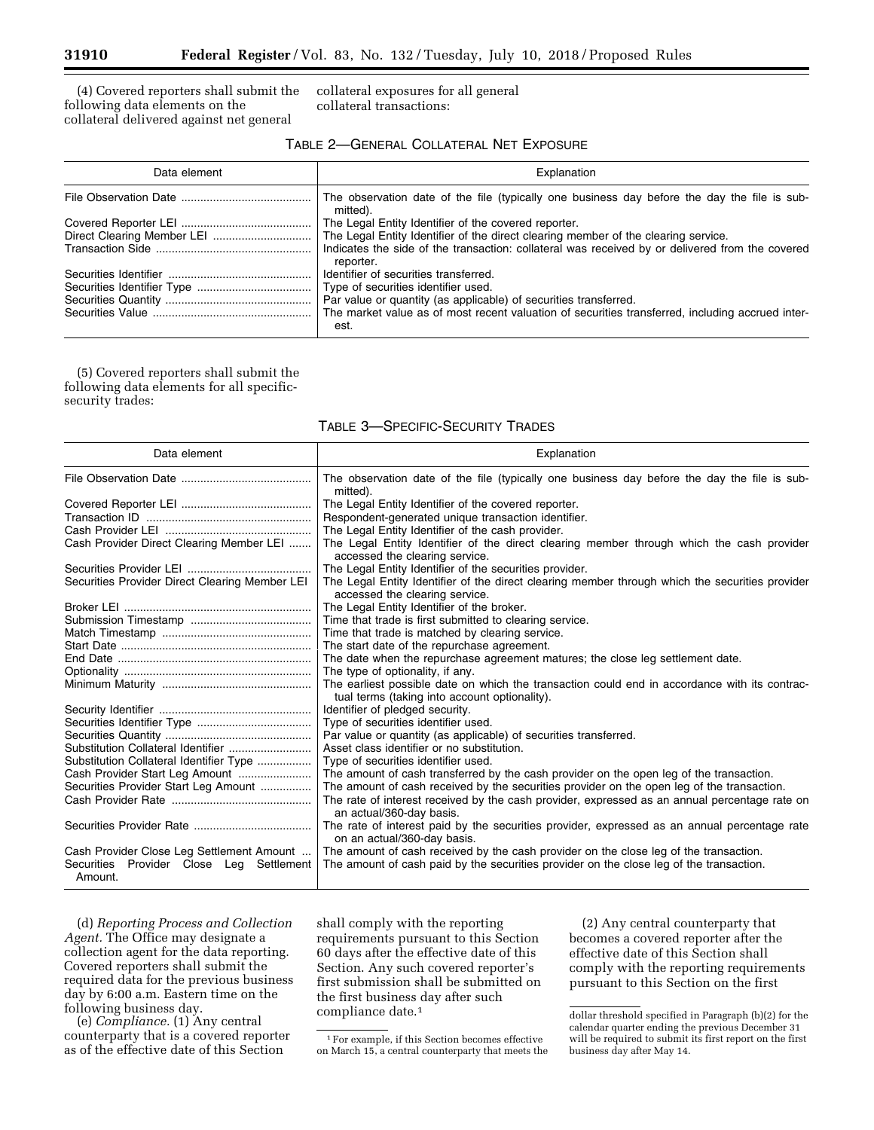(4) Covered reporters shall submit the following data elements on the collateral delivered against net general

collateral exposures for all general collateral transactions:

# TABLE 2—GENERAL COLLATERAL NET EXPOSURE

| Data element | Explanation                                                                                                  |
|--------------|--------------------------------------------------------------------------------------------------------------|
|              | The observation date of the file (typically one business day before the day the file is sub-<br>mitted).     |
|              | The Legal Entity Identifier of the covered reporter.                                                         |
|              | The Legal Entity Identifier of the direct clearing member of the clearing service.                           |
|              | Indicates the side of the transaction: collateral was received by or delivered from the covered<br>reporter. |
|              | Identifier of securities transferred.                                                                        |
|              | Type of securities identifier used.                                                                          |
|              | Par value or quantity (as applicable) of securities transferred.                                             |
|              | The market value as of most recent valuation of securities transferred, including accrued inter-<br>est.     |

(5) Covered reporters shall submit the following data elements for all specificsecurity trades:

| Data element                                                                                     | Explanation                                                                                                                                                                      |
|--------------------------------------------------------------------------------------------------|----------------------------------------------------------------------------------------------------------------------------------------------------------------------------------|
|                                                                                                  | The observation date of the file (typically one business day before the day the file is sub-<br>mitted).                                                                         |
|                                                                                                  | The Legal Entity Identifier of the covered reporter.                                                                                                                             |
|                                                                                                  | Respondent-generated unique transaction identifier.                                                                                                                              |
|                                                                                                  | The Legal Entity Identifier of the cash provider.                                                                                                                                |
| Cash Provider Direct Clearing Member LEI                                                         | The Legal Entity Identifier of the direct clearing member through which the cash provider<br>accessed the clearing service.                                                      |
|                                                                                                  | The Legal Entity Identifier of the securities provider.                                                                                                                          |
| Securities Provider Direct Clearing Member LEI                                                   | The Legal Entity Identifier of the direct clearing member through which the securities provider<br>accessed the clearing service.                                                |
|                                                                                                  | The Legal Entity Identifier of the broker.                                                                                                                                       |
|                                                                                                  | Time that trade is first submitted to clearing service.                                                                                                                          |
|                                                                                                  | Time that trade is matched by clearing service.                                                                                                                                  |
|                                                                                                  | The start date of the repurchase agreement.                                                                                                                                      |
|                                                                                                  | The date when the repurchase agreement matures; the close leg settlement date.                                                                                                   |
|                                                                                                  | The type of optionality, if any.                                                                                                                                                 |
|                                                                                                  | The earliest possible date on which the transaction could end in accordance with its contrac-<br>tual terms (taking into account optionality).                                   |
|                                                                                                  | Identifier of pledged security.                                                                                                                                                  |
|                                                                                                  | Type of securities identifier used.                                                                                                                                              |
|                                                                                                  | Par value or quantity (as applicable) of securities transferred.                                                                                                                 |
| Substitution Collateral Identifier                                                               | Asset class identifier or no substitution.                                                                                                                                       |
| Substitution Collateral Identifier Type                                                          | Type of securities identifier used.                                                                                                                                              |
| Cash Provider Start Leg Amount                                                                   | The amount of cash transferred by the cash provider on the open leg of the transaction.                                                                                          |
| Securities Provider Start Leg Amount                                                             | The amount of cash received by the securities provider on the open leg of the transaction.                                                                                       |
|                                                                                                  | The rate of interest received by the cash provider, expressed as an annual percentage rate on<br>an actual/360-day basis.                                                        |
|                                                                                                  | The rate of interest paid by the securities provider, expressed as an annual percentage rate<br>on an actual/360-day basis.                                                      |
| Cash Provider Close Leg Settlement Amount<br>Securities Provider Close Leg Settlement<br>Amount. | The amount of cash received by the cash provider on the close leg of the transaction.<br>The amount of cash paid by the securities provider on the close leg of the transaction. |

# TABLE 3—SPECIFIC-SECURITY TRADES

(d) *Reporting Process and Collection Agent.* The Office may designate a collection agent for the data reporting. Covered reporters shall submit the required data for the previous business day by 6:00 a.m. Eastern time on the following business day.

(e) *Compliance.* (1) Any central counterparty that is a covered reporter as of the effective date of this Section

shall comply with the reporting requirements pursuant to this Section 60 days after the effective date of this Section. Any such covered reporter's first submission shall be submitted on the first business day after such compliance date.1

1For example, if this Section becomes effective on March 15, a central counterparty that meets the

(2) Any central counterparty that becomes a covered reporter after the effective date of this Section shall comply with the reporting requirements pursuant to this Section on the first

dollar threshold specified in Paragraph (b)(2) for the calendar quarter ending the previous December 31 will be required to submit its first report on the first business day after May 14.